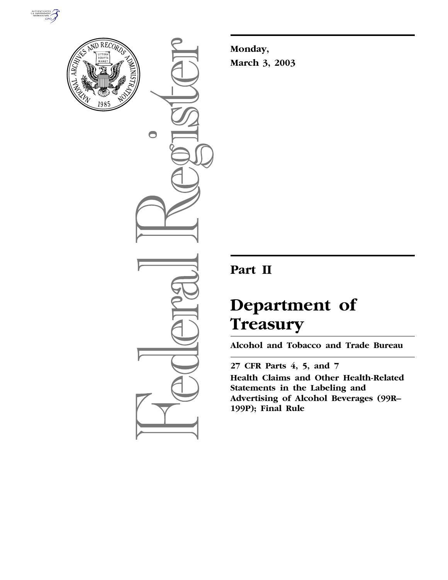



 $\bigcirc$ 

**Monday, March 3, 2003**

## **Part II**

# **Department of Treasury**

**Alcohol and Tobacco and Trade Bureau** 

**27 CFR Parts 4, 5, and 7 Health Claims and Other Health-Related Statements in the Labeling and Advertising of Alcohol Beverages (99R– 199P); Final Rule**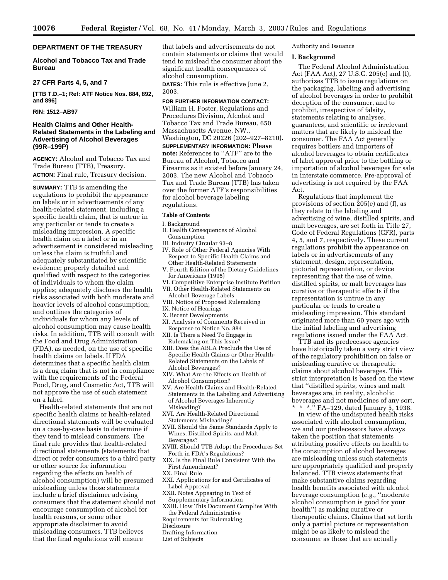## **DEPARTMENT OF THE TREASURY**

## **Alcohol and Tobacco Tax and Trade Bureau**

## **27 CFR Parts 4, 5, and 7**

**[TTB T.D.–1; Ref: ATF Notice Nos. 884, 892, and 896]** 

## **RIN: 1512–AB97**

## **Health Claims and Other Health-Related Statements in the Labeling and Advertising of Alcohol Beverages (99R–199P)**

**AGENCY:** Alcohol and Tobacco Tax and Trade Bureau (TTB), Treasury. **ACTION:** Final rule, Treasury decision.

**SUMMARY:** TTB is amending the regulations to prohibit the appearance on labels or in advertisements of any health-related statement, including a specific health claim, that is untrue in any particular or tends to create a misleading impression. A specific health claim on a label or in an advertisement is considered misleading unless the claim is truthful and adequately substantiated by scientific evidence; properly detailed and qualified with respect to the categories of individuals to whom the claim applies; adequately discloses the health risks associated with both moderate and heavier levels of alcohol consumption; and outlines the categories of individuals for whom any levels of alcohol consumption may cause health risks. In addition, TTB will consult with the Food and Drug Administration (FDA), as needed, on the use of specific health claims on labels. If FDA determines that a specific health claim is a drug claim that is not in compliance with the requirements of the Federal Food, Drug, and Cosmetic Act, TTB will not approve the use of such statement on a label.

Health-related statements that are not specific health claims or health-related directional statements will be evaluated on a case-by-case basis to determine if they tend to mislead consumers. The final rule provides that health-related directional statements (statements that direct or refer consumers to a third party or other source for information regarding the effects on health of alcohol consumption) will be presumed misleading unless those statements include a brief disclaimer advising consumers that the statement should not encourage consumption of alcohol for health reasons, or some other appropriate disclaimer to avoid misleading consumers. TTB believes that the final regulations will ensure

that labels and advertisements do not contain statements or claims that would tend to mislead the consumer about the significant health consequences of alcohol consumption.

**DATES:** This rule is effective June 2, 2003.

**FOR FURTHER INFORMATION CONTACT:** William H. Foster, Regulations and Procedures Division, Alcohol and Tobacco Tax and Trade Bureau, 650 Massachusetts Avenue, NW., Washington, DC 20226 (202–927–8210). **SUPPLEMENTARY INFORMATION: Please note:** References to ''ATF'' are to the Bureau of Alcohol, Tobacco and Firearms as it existed before January 24, 2003. The new Alcohol and Tobacco Tax and Trade Bureau (TTB) has taken over the former ATF's responsibilities for alcohol beverage labeling regulations.

#### **Table of Contents**

I. Background

- II. Health Consequences of Alcohol Consumption
- III. Industry Circular 93–8
- IV. Role of Other Federal Agencies With Respect to Specific Health Claims and Other Health-Related Statements
- V. Fourth Edition of the Dietary Guidelines for Americans (1995)
- VI. Competitive Enterprise Institute Petition VII. Other Health-Related Statements on
- Alcohol Beverage Labels
- VIII. Notice of Proposed Rulemaking
- IX. Notice of Hearings
- X. Recent Developments XI. Analysis of Comments Received in Response to Notice No. 884
- XII. Is There a Need To Engage in Rulemaking on This Issue?
- XIII. Does the ABLA Preclude the Use of Specific Health Claims or Other Health-Related Statements on the Labels of Alcohol Beverages?
- XIV. What Are the Effects on Health of Alcohol Consumption?
- XV. Are Health Claims and Health-Related Statements in the Labeling and Advertising of Alcohol Beverages Inherently Misleading?
- XVI. Are Health-Related Directional Statements Misleading?
- XVII. Should the Same Standards Apply to Wines, Distilled Spirits, and Malt Beverages?
- XVIII. Should TTB Adopt the Procedures Set Forth in FDA's Regulations?
- XIX. Is the Final Rule Consistent With the First Amendment?
- XX. Final Rule
- XXI. Applications for and Certificates of Label Approval
- XXII. Notes Appearing in Text of Supplementary Information
- XXIII. How This Document Complies With the Federal Administrative
- Requirements for Rulemaking
- **Disclosure**
- Drafting Information
- List of Subjects

Authority and Issuance

#### **I. Background**

The Federal Alcohol Administration Act (FAA Act), 27 U.S.C. 205(e) and (f), authorizes TTB to issue regulations on the packaging, labeling and advertising of alcohol beverages in order to prohibit deception of the consumer, and to prohibit, irrespective of falsity, statements relating to analyses, guarantees, and scientific or irrelevant matters that are likely to mislead the consumer. The FAA Act generally requires bottlers and importers of alcohol beverages to obtain certificates of label approval prior to the bottling or importation of alcohol beverages for sale in interstate commerce. Pre-approval of advertising is not required by the FAA Act.

Regulations that implement the provisions of section 205(e) and (f), as they relate to the labeling and advertising of wine, distilled spirits, and malt beverages, are set forth in Title 27, Code of Federal Regulations (CFR), parts 4, 5, and 7, respectively. These current regulations prohibit the appearance on labels or in advertisements of any statement, design, representation, pictorial representation, or device representing that the use of wine, distilled spirits, or malt beverages has curative or therapeutic effects if the representation is untrue in any particular or tends to create a misleading impression. This standard originated more than 60 years ago with the initial labeling and advertising regulations issued under the FAA Act.

TTB and its predecessor agencies have historically taken a very strict view of the regulatory prohibition on false or misleading curative or therapeutic claims about alcohol beverages. This strict interpretation is based on the view that ''distilled spirits, wines and malt beverages are, in reality, alcoholic beverages and not medicines of any sort, \* \* \*.'' FA–129, dated January 5, 1938.

In view of the undisputed health risks associated with alcohol consumption, we and our predecessors have always taken the position that statements attributing positive effects on health to the consumption of alcohol beverages are misleading unless such statements are appropriately qualified and properly balanced. TTB views statements that make substantive claims regarding health benefits associated with alcohol beverage consumption (*e.g.*, ''moderate alcohol consumption is good for your health'') as making curative or therapeutic claims. Claims that set forth only a partial picture or representation might be as likely to mislead the consumer as those that are actually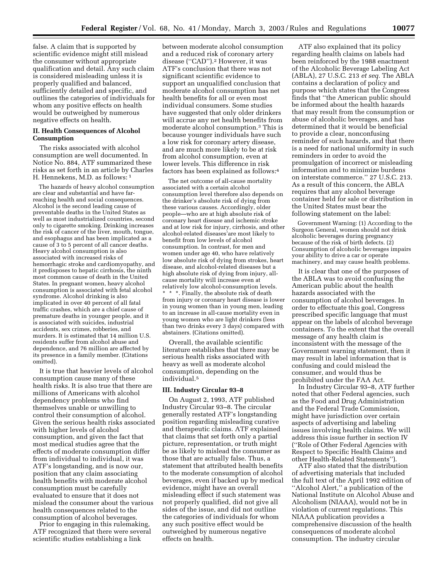false. A claim that is supported by scientific evidence might still mislead the consumer without appropriate qualification and detail. Any such claim is considered misleading unless it is properly qualified and balanced, sufficiently detailed and specific, and outlines the categories of individuals for whom any positive effects on health would be outweighed by numerous negative effects on health.

## **II. Health Consequences of Alcohol Consumption**

The risks associated with alcohol consumption are well documented. In Notice No. 884, ATF summarized these risks as set forth in an article by Charles H. Hennekens, M.D. as follows: 1

The hazards of heavy alcohol consumption are clear and substantial and have farreaching health and social consequences. Alcohol is the second leading cause of preventable deaths in the United States as well as most industrialized countries, second only to cigarette smoking. Drinking increases the risk of cancer of the liver, mouth, tongue, and esophagus and has been implicated as a cause of 3 to 5 percent of all cancer deaths. Heavy alcohol consumption is also associated with increased risks of hemorrhagic stroke and cardiomyopathy, and it predisposes to hepatic cirrhosis, the ninth most common cause of death in the United States. In pregnant women, heavy alcohol consumption is associated with fetal alcohol syndrome. Alcohol drinking is also implicated in over 40 percent of all fatal traffic crashes, which are a chief cause of premature deaths in younger people, and it is associated with suicides, industrial accidents, sex crimes, robberies, and murders. It is estimated that 14 million U.S. residents suffer from alcohol abuse and dependence, and 76 million are affected by its presence in a family member. (Citations omitted).

It is true that heavier levels of alcohol consumption cause many of these health risks. It is also true that there are millions of Americans with alcohol dependency problems who find themselves unable or unwilling to control their consumption of alcohol. Given the serious health risks associated with higher levels of alcohol consumption, and given the fact that most medical studies agree that the effects of moderate consumption differ from individual to individual, it was ATF's longstanding, and is now our, position that any claim associating health benefits with moderate alcohol consumption must be carefully evaluated to ensure that it does not mislead the consumer about the various health consequences related to the consumption of alcohol beverages.

Prior to engaging in this rulemaking, ATF recognized that there were several scientific studies establishing a link

between moderate alcohol consumption and a reduced risk of coronary artery disease (''CAD'').2 However, it was ATF's conclusion that there was not significant scientific evidence to support an unqualified conclusion that moderate alcohol consumption has net health benefits for all or even most individual consumers. Some studies have suggested that only older drinkers will accrue any net health benefits from moderate alcohol consumption.3 This is because younger individuals have such a low risk for coronary artery disease, and are much more likely to be at risk from alcohol consumption, even at lower levels. This difference in risk factors has been explained as follows:4

The net outcome of all-cause mortality associated with a certain alcohol consumption level therefore also depends on the drinker's absolute risk of dying from these various causes. Accordingly, older people—who are at high absolute risk of coronary heart disease and ischemic stroke and at low risk for injury, cirrhosis, and other alcohol-related diseases'are most likely to benefit from low levels of alcohol consumption. In contrast, for men and women under age 40, who have relatively low absolute risk of dying from strokes, heart disease, and alcohol-related diseases but a high absolute risk of dying from injury, allcause mortality will increase even at relatively low alcohol-consumption levels. \* \* \*. Finally, the absolute risk of death from injury or coronary heart disease is lower in young women than in young men, leading to an increase in all-cause mortality even in young women who are light drinkers (less than two drinks every 3 days) compared with abstainers. (Citations omitted).

Overall, the available scientific literature establishes that there may be serious health risks associated with heavy as well as moderate alcohol consumption, depending on the individual.5

#### **III. Industry Circular 93–8**

On August 2, 1993, ATF published Industry Circular 93–8. The circular generally restated ATF's longstanding position regarding misleading curative and therapeutic claims. ATF explained that claims that set forth only a partial picture, representation, or truth might be as likely to mislead the consumer as those that are actually false. Thus, a statement that attributed health benefits to the moderate consumption of alcohol beverages, even if backed up by medical evidence, might have an overall misleading effect if such statement was not properly qualified, did not give all sides of the issue, and did not outline the categories of individuals for whom any such positive effect would be outweighed by numerous negative effects on health.

ATF also explained that its policy regarding health claims on labels had been reinforced by the 1988 enactment of the Alcoholic Beverage Labeling Act (ABLA), 27 U.S.C. 213 *et seq.* The ABLA contains a declaration of policy and purpose which states that the Congress finds that ''the American public should be informed about the health hazards that may result from the consumption or abuse of alcoholic beverages, and has determined that it would be beneficial to provide a clear, nonconfusing reminder of such hazards, and that there is a need for national uniformity in such reminders in order to avoid the promulgation of incorrect or misleading information and to minimize burdens on interstate commerce.'' 27 U.S.C. 213. As a result of this concern, the ABLA requires that any alcohol beverage container held for sale or distribution in the United States must bear the following statement on the label:

Government Warning: (1) According to the Surgeon General, women should not drink alcoholic beverages during pregnancy because of the risk of birth defects. (2) Consumption of alcoholic beverages impairs your ability to drive a car or operate machinery, and may cause health problems.

It is clear that one of the purposes of the ABLA was to avoid confusing the American public about the health hazards associated with the consumption of alcohol beverages. In order to effectuate this goal, Congress prescribed specific language that must appear on the labels of alcohol beverage containers. To the extent that the overall message of any health claim is inconsistent with the message of the Government warning statement, then it may result in label information that is confusing and could mislead the consumer, and would thus be prohibited under the FAA Act.

In Industry Circular 93–8, ATF further noted that other Federal agencies, such as the Food and Drug Administration and the Federal Trade Commission, might have jurisdiction over certain aspects of advertising and labeling issues involving health claims. We will address this issue further in section IV (''Role of Other Federal Agencies with Respect to Specific Health Claims and other Health-Related Statements'').

ATF also stated that the distribution of advertising materials that included the full text of the April 1992 edition of ''Alcohol Alert,'' a publication of the National Institute on Alcohol Abuse and Alcoholism (NIAAA), would not be in violation of current regulations. This NIAAA publication provides a comprehensive discussion of the health consequences of moderate alcohol consumption. The industry circular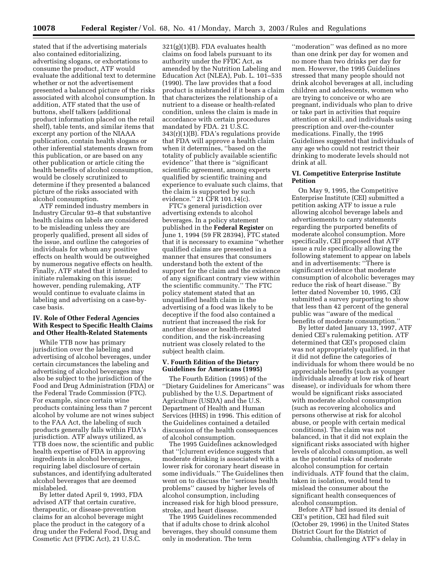stated that if the advertising materials also contained editorializing, advertising slogans, or exhortations to consume the product, ATF would evaluate the additional text to determine whether or not the advertisement presented a balanced picture of the risks associated with alcohol consumption. In addition, ATF stated that the use of buttons, shelf talkers (additional product information placed on the retail shelf), table tents, and similar items that excerpt any portion of the NIAAA publication, contain health slogans or other inferential statements drawn from this publication, or are based on any other publication or article citing the health benefits of alcohol consumption, would be closely scrutinized to determine if they presented a balanced picture of the risks associated with alcohol consumption.

ATF reminded industry members in Industry Circular 93–8 that substantive health claims on labels are considered to be misleading unless they are properly qualified, present all sides of the issue, and outline the categories of individuals for whom any positive effects on health would be outweighed by numerous negative effects on health. Finally, ATF stated that it intended to initiate rulemaking on this issue; however, pending rulemaking, ATF would continue to evaluate claims in labeling and advertising on a case-bycase basis.

## **IV. Role of Other Federal Agencies With Respect to Specific Health Claims and Other Health-Related Statements**

While TTB now has primary jurisdiction over the labeling and advertising of alcohol beverages, under certain circumstances the labeling and advertising of alcohol beverages may also be subject to the jurisdiction of the Food and Drug Administration (FDA) or the Federal Trade Commission (FTC). For example, since certain wine products containing less than 7 percent alcohol by volume are not wines subject to the FAA Act, the labeling of such products generally falls within FDA's jurisdiction. ATF always utilized, as TTB does now, the scientific and public health expertise of FDA in approving ingredients in alcohol beverages, requiring label disclosure of certain substances, and identifying adulterated alcohol beverages that are deemed mislabeled.

By letter dated April 9, 1993, FDA advised ATF that certain curative, therapeutic, or disease-prevention claims for an alcohol beverage might place the product in the category of a drug under the Federal Food, Drug and Cosmetic Act (FFDC Act), 21 U.S.C.

 $321(g)(1)(B)$ . FDA evaluates health claims on food labels pursuant to its authority under the FFDC Act, as amended by the Nutrition Labeling and Education Act (NLEA), Pub. L. 101–535 (1990). The law provides that a food product is misbranded if it bears a claim that characterizes the relationship of a nutrient to a disease or health-related condition, unless the claim is made in accordance with certain procedures mandated by FDA. 21 U.S.C. 343(r)(1)(B). FDA's regulations provide that FDA will approve a health claim when it determines, ''based on the totality of publicly available scientific evidence'' that there is ''significant scientific agreement, among experts qualified by scientific training and experience to evaluate such claims, that the claim is supported by such evidence.'' 21 CFR 101.14(c).

FTC's general jurisdiction over advertising extends to alcohol beverages. In a policy statement published in the **Federal Register** on June 1, 1994 (59 FR 28394), FTC stated that it is necessary to examine ''whether qualified claims are presented in a manner that ensures that consumers understand both the extent of the support for the claim and the existence of any significant contrary view within the scientific community.'' The FTC policy statement stated that an unqualified health claim in the advertising of a food was likely to be deceptive if the food also contained a nutrient that increased the risk for another disease or health-related condition, and the risk-increasing nutrient was closely related to the subject health claim.

## **V. Fourth Edition of the Dietary Guidelines for Americans (1995)**

The Fourth Edition (1995) of the ''Dietary Guidelines for Americans'' was published by the U.S. Department of Agriculture (USDA) and the U.S. Department of Health and Human Services (HHS) in 1996. This edition of the Guidelines contained a detailed discussion of the health consequences of alcohol consumption.

The 1995 Guidelines acknowledged that ''[c]urrent evidence suggests that moderate drinking is associated with a lower risk for coronary heart disease in some individuals.'' The Guidelines then went on to discuss the ''serious health problems'' caused by higher levels of alcohol consumption, including increased risk for high blood pressure, stroke, and heart disease.

The 1995 Guidelines recommended that if adults chose to drink alcohol beverages, they should consume them only in moderation. The term

''moderation'' was defined as no more than one drink per day for women and no more than two drinks per day for men. However, the 1995 Guidelines stressed that many people should not drink alcohol beverages at all, including children and adolescents, women who are trying to conceive or who are pregnant, individuals who plan to drive or take part in activities that require attention or skill, and individuals using prescription and over-the-counter medications. Finally, the 1995 Guidelines suggested that individuals of any age who could not restrict their drinking to moderate levels should not drink at all.

## **VI. Competitive Enterprise Institute Petition**

On May 9, 1995, the Competitive Enterprise Institute (CEI) submitted a petition asking ATF to issue a rule allowing alcohol beverage labels and advertisements to carry statements regarding the purported benefits of moderate alcohol consumption. More specifically, CEI proposed that ATF issue a rule specifically allowing the following statement to appear on labels and in advertisements: ''There is significant evidence that moderate consumption of alcoholic beverages may reduce the risk of heart disease.'' By letter dated November 10, 1995, CEI submitted a survey purporting to show that less than 42 percent of the general public was ''aware of the medical benefits of moderate consumption.''

By letter dated January 13, 1997, ATF denied CEI's rulemaking petition. ATF determined that CEI's proposed claim was not appropriately qualified, in that it did not define the categories of individuals for whom there would be no appreciable benefits (such as younger individuals already at low risk of heart disease), or individuals for whom there would be significant risks associated with moderate alcohol consumption (such as recovering alcoholics and persons otherwise at risk for alcohol abuse, or people with certain medical conditions). The claim was not balanced, in that it did not explain the significant risks associated with higher levels of alcohol consumption, as well as the potential risks of moderate alcohol consumption for certain individuals. ATF found that the claim, taken in isolation, would tend to mislead the consumer about the significant health consequences of alcohol consumption.

Before ATF had issued its denial of CEI's petition, CEI had filed suit (October 29, 1996) in the United States District Court for the District of Columbia, challenging ATF's delay in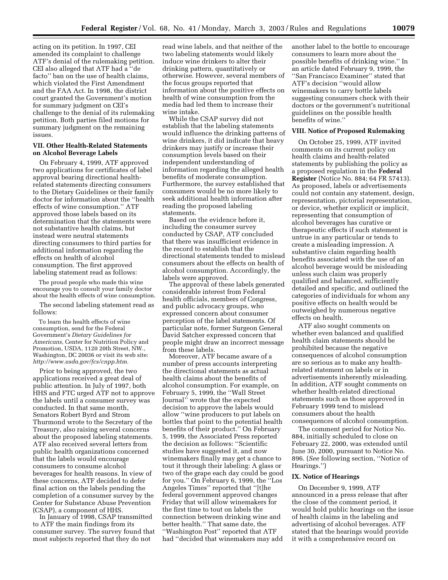acting on its petition. In 1997, CEI amended its complaint to challenge ATF's denial of the rulemaking petition. CEI also alleged that ATF had a ''de facto'' ban on the use of health claims, which violated the First Amendment and the FAA Act. In 1998, the district court granted the Government's motion for summary judgment on CEI's challenge to the denial of its rulemaking petition. Both parties filed motions for summary judgment on the remaining issues.

## **VII. Other Health-Related Statements on Alcohol Beverage Labels**

On February 4, 1999, ATF approved two applications for certificates of label approval bearing directional healthrelated statements directing consumers to the Dietary Guidelines or their family doctor for information about the ''health effects of wine consumption.'' ATF approved those labels based on its determination that the statements were not substantive health claims, but instead were neutral statements directing consumers to third parties for additional information regarding the effects on health of alcohol consumption. The first approved labeling statement read as follows:

The proud people who made this wine encourage you to consult your family doctor about the health effects of wine consumption.

The second labeling statement read as follows:

To learn the health effects of wine consumption, send for the Federal Government's *Dietary Guidelines for Americans,* Center for Nutrition Policy and Promotion, USDA, 1120 20th Street, NW., Washington, DC 20036 or visit its web site: *http://www.usda.gov/fcs/cnpp.htm.*

Prior to being approved, the two applications received a great deal of public attention. In July of 1997, both HHS and FTC urged ATF not to approve the labels until a consumer survey was conducted. In that same month, Senators Robert Byrd and Strom Thurmond wrote to the Secretary of the Treasury, also raising several concerns about the proposed labeling statements. ATF also received several letters from public health organizations concerned that the labels would encourage consumers to consume alcohol beverages for health reasons. In view of these concerns, ATF decided to defer final action on the labels pending the completion of a consumer survey by the Center for Substance Abuse Prevention (CSAP), a component of HHS.

In January of 1998, CSAP transmitted to ATF the main findings from its consumer survey. The survey found that most subjects reported that they do not

read wine labels, and that neither of the two labeling statements would likely induce wine drinkers to alter their drinking pattern, quantitatively or otherwise. However, several members of the focus groups reported that information about the positive effects on health of wine consumption from the media had led them to increase their wine intake.

While the CSAP survey did not establish that the labeling statements would influence the drinking patterns of wine drinkers, it did indicate that heavy drinkers may justify or increase their consumption levels based on their independent understanding of information regarding the alleged health benefits of moderate consumption. Furthermore, the survey established that consumers would be no more likely to seek additional health information after reading the proposed labeling statements.

Based on the evidence before it, including the consumer survey conducted by CSAP, ATF concluded that there was insufficient evidence in the record to establish that the directional statements tended to mislead consumers about the effects on health of alcohol consumption. Accordingly, the labels were approved.

The approval of these labels generated considerable interest from Federal health officials, members of Congress, and public advocacy groups, who expressed concern about consumer perception of the label statements. Of particular note, former Surgeon General David Satcher expressed concern that people might draw an incorrect message from these labels.

Moreover, ATF became aware of a number of press accounts interpreting the directional statements as actual health claims about the benefits of alcohol consumption. For example, on February 5, 1999, the ''Wall Street Journal'' wrote that the expected decision to approve the labels would allow ''wine producers to put labels on bottles that point to the potential health benefits of their product.'' On February 5, 1999, the Associated Press reported the decision as follows: ''Scientific studies have suggested it, and now winemakers finally may get a chance to tout it through their labeling: A glass or two of the grape each day could be good for you.'' On February 6, 1999, the ''Los Angeles Times'' reported that ''[t]he federal government approved changes Friday that will allow winemakers for the first time to tout on labels the connection between drinking wine and better health.'' That same date, the ''Washington Post'' reported that ATF had ''decided that winemakers may add

another label to the bottle to encourage consumers to learn more about the possible benefits of drinking wine.'' In an article dated February 9, 1999, the ''San Francisco Examiner'' stated that ATF's decision ''would allow winemakers to carry bottle labels suggesting consumers check with their doctors or the government's nutritional guidelines on the possible health benefits of wine.''

#### **VIII. Notice of Proposed Rulemaking**

On October 25, 1999, ATF invited comments on its current policy on health claims and health-related statements by publishing the policy as a proposed regulation in the **Federal Register** (Notice No. 884; 64 FR 57413). As proposed, labels or advertisements could not contain any statement, design, representation, pictorial representation, or device, whether explicit or implicit, representing that consumption of alcohol beverages has curative or therapeutic effects if such statement is untrue in any particular or tends to create a misleading impression. A substantive claim regarding health benefits associated with the use of an alcohol beverage would be misleading unless such claim was properly qualified and balanced, sufficiently detailed and specific, and outlined the categories of individuals for whom any positive effects on health would be outweighed by numerous negative effects on health.

ATF also sought comments on whether even balanced and qualified health claim statements should be prohibited because the negative consequences of alcohol consumption are so serious as to make any healthrelated statement on labels or in advertisements inherently misleading. In addition, ATF sought comments on whether health-related directional statements such as those approved in February 1999 tend to mislead consumers about the health consequences of alcohol consumption.

The comment period for Notice No. 884, initially scheduled to close on February 22, 2000, was extended until June 30, 2000, pursuant to Notice No. 896. (*See* following section, ''Notice of Hearings.'')

#### **IX. Notice of Hearings**

On December 9, 1999, ATF announced in a press release that after the close of the comment period, it would hold public hearings on the issue of health claims in the labeling and advertising of alcohol beverages. ATF stated that the hearings would provide it with a comprehensive record on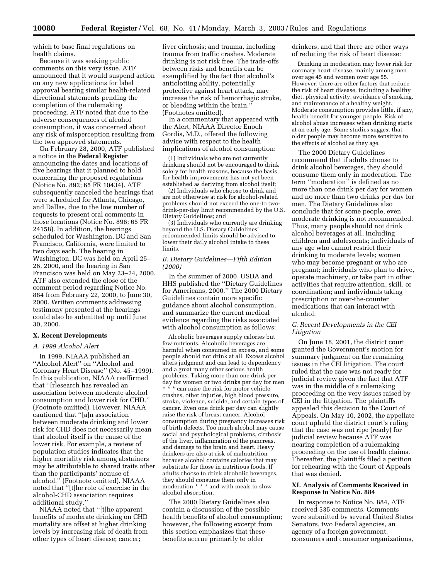which to base final regulations on health claims.

Because it was seeking public comments on this very issue, ATF announced that it would suspend action on any new applications for label approval bearing similar health-related directional statements pending the completion of the rulemaking proceeding. ATF noted that due to the adverse consequences of alcohol consumption, it was concerned about any risk of misperception resulting from the two approved statements.

On February 28, 2000, ATF published a notice in the **Federal Register** announcing the dates and locations of five hearings that it planned to hold concerning the proposed regulations (Notice No. 892; 65 FR 10434). ATF subsequently canceled the hearings that were scheduled for Atlanta, Chicago, and Dallas, due to the low number of requests to present oral comments in those locations (Notice No. 896; 65 FR 24158). In addition, the hearings scheduled for Washington, DC and San Francisco, California, were limited to two days each. The hearing in Washington, DC was held on April 25– 26, 2000, and the hearing in San Francisco was held on May 23–24, 2000. ATF also extended the close of the comment period regarding Notice No. 884 from February 22, 2000, to June 30, 2000. Written comments addressing testimony presented at the hearings could also be submitted up until June 30, 2000.

#### **X. Recent Developments**

#### *A. 1999 Alcohol Alert*

In 1999, NIAAA published an ''Alcohol Alert'' on ''Alcohol and Coronary Heart Disease'' (No. 45–1999). In this publication, NIAAA reaffirmed that ''[r]esearch has revealed an association between moderate alcohol consumption and lower risk for CHD.'' (Footnote omitted). However, NIAAA cautioned that ''[a]n association between moderate drinking and lower risk for CHD does not necessarily mean that alcohol itself is the cause of the lower risk. For example, a review of population studies indicates that the higher mortality risk among abstainers may be attributable to shared traits other than the participants' nonuse of alcohol.'' (Footnote omitted). NIAAA noted that ''[t]he role of exercise in the alcohol-CHD association requires additional study.''

NIAAA noted that ''[t]he apparent benefits of moderate drinking on CHD mortality are offset at higher drinking levels by increasing risk of death from other types of heart disease; cancer;

liver cirrhosis; and trauma, including trauma from traffic crashes. Moderate drinking is not risk free. The trade-offs between risks and benefits can be exemplified by the fact that alcohol's anticlotting ability, potentially protective against heart attack, may increase the risk of hemorrhagic stroke, or bleeding within the brain.'' (Footnotes omitted).

In a commentary that appeared with the Alert, NIAAA Director Enoch Gordis, M.D., offered the following advice with respect to the health implications of alcohol consumption:

(1) Individuals who are not currently drinking should not be encouraged to drink solely for health reasons, because the basis for health improvements has not yet been established as deriving from alcohol itself;

(2) Individuals who choose to drink and are not otherwise at risk for alcohol-related problems should not exceed the one-to twodrink-per-day limit recommended by the U.S. Dietary Guidelines; and

(3) Individuals who currently are drinking beyond the U.S. Dietary Guidelines' recommended limits should be advised to lower their daily alcohol intake to these limits.

## *B. Dietary Guidelines—Fifth Edition (2000)*

In the summer of 2000, USDA and HHS published the ''Dietary Guidelines for Americans, 2000.'' The 2000 Dietary Guidelines contain more specific guidance about alcohol consumption, and summarize the current medical evidence regarding the risks associated with alcohol consumption as follows:

Alcoholic beverages supply calories but few nutrients. Alcoholic beverages are harmful when consumed in excess, and some people should not drink at all. Excess alcohol alters judgment and can lead to dependency and a great many other serious health problems. Taking more than one drink per day for women or two drinks per day for men \* \* \* can raise the risk for motor vehicle crashes, other injuries, high blood pressure, stroke, violence, suicide, and certain types of cancer. Even one drink per day can slightly raise the risk of breast cancer. Alcohol consumption during pregnancy increases risk of birth defects. Too much alcohol may cause social and psychological problems, cirrhosis of the liver, inflammation of the pancreas, and damage to the brain and heart. Heavy drinkers are also at risk of malnutrition because alcohol contains calories that may substitute for those in nutritious foods. If adults choose to drink alcoholic beverages, they should consume them only in moderation \* \* \* and with meals to slow alcohol absorption.

The 2000 Dietary Guidelines also contain a discussion of the possible health benefits of alcohol consumption; however, the following excerpt from this section emphasizes that these benefits accrue primarily to older

drinkers, and that there are other ways of reducing the risk of heart disease:

Drinking in moderation may lower risk for coronary heart disease, mainly among men over age 45 and women over age 55. However, there are other factors that reduce the risk of heart disease, including a healthy diet, physical activity, avoidance of smoking, and maintenance of a healthy weight. Moderate consumption provides little, if any, health benefit for younger people. Risk of alcohol abuse increases when drinking starts at an early age. Some studies suggest that older people may become more sensitive to the effects of alcohol as they age.

The 2000 Dietary Guidelines recommend that if adults choose to drink alcohol beverages, they should consume them only in moderation. The term ''moderation'' is defined as no more than one drink per day for women and no more than two drinks per day for men. The Dietary Guidelines also conclude that for some people, even moderate drinking is not recommended. Thus, many people should not drink alcohol beverages at all, including children and adolescents; individuals of any age who cannot restrict their drinking to moderate levels; women who may become pregnant or who are pregnant; individuals who plan to drive, operate machinery, or take part in other activities that require attention, skill, or coordination; and individuals taking prescription or over-the-counter medications that can interact with alcohol.

## *C. Recent Developments in the CEI Litigation*

On June 18, 2001, the district court granted the Government's motion for summary judgment on the remaining issues in the CEI litigation. The court ruled that the case was not ready for judicial review given the fact that ATF was in the middle of a rulemaking proceeding on the very issues raised by CEI in the litigation. The plaintiffs appealed this decision to the Court of Appeals. On May 10, 2002, the appellate court upheld the district court's ruling that the case was not ripe (ready) for judicial review because ATF was nearing completion of a rulemaking proceeding on the use of health claims. Thereafter, the plaintiffs filed a petition for rehearing with the Court of Appeals that was denied.

## **XI. Analysis of Comments Received in Response to Notice No. 884**

In response to Notice No. 884, ATF received 535 comments. Comments were submitted by several United States Senators, two Federal agencies, an agency of a foreign government, consumers and consumer organizations,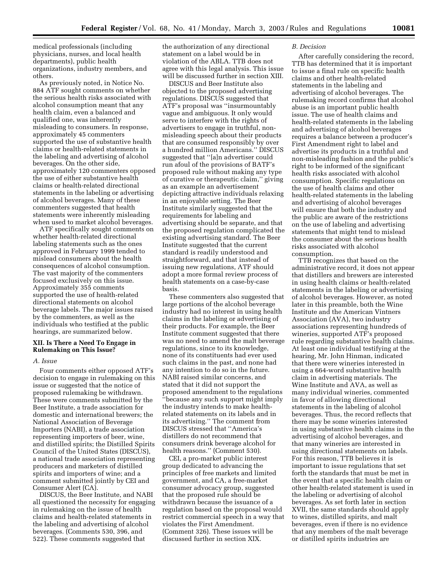medical professionals (including physicians, nurses, and local health departments), public health organizations, industry members, and others.

As previously noted, in Notice No. 884 ATF sought comments on whether the serious health risks associated with alcohol consumption meant that any health claim, even a balanced and qualified one, was inherently misleading to consumers. In response, approximately 45 commenters supported the use of substantive health claims or health-related statements in the labeling and advertising of alcohol beverages. On the other side, approximately 120 commenters opposed the use of either substantive health claims or health-related directional statements in the labeling or advertising of alcohol beverages. Many of these commenters suggested that health statements were inherently misleading when used to market alcohol beverages.

ATF specifically sought comments on whether health-related directional labeling statements such as the ones approved in February 1999 tended to mislead consumers about the health consequences of alcohol consumption. The vast majority of the commenters focused exclusively on this issue. Approximately 355 comments supported the use of health-related directional statements on alcohol beverage labels. The major issues raised by the commenters, as well as the individuals who testified at the public hearings, are summarized below.

## **XII. Is There a Need To Engage in Rulemaking on This Issue?**

## *A. Issue*

Four comments either opposed ATF's decision to engage in rulemaking on this issue or suggested that the notice of proposed rulemaking be withdrawn. These were comments submitted by the Beer Institute, a trade association for domestic and international brewers; the National Association of Beverage Importers (NABI), a trade association representing importers of beer, wine, and distilled spirits; the Distilled Spirits Council of the United States (DISCUS), a national trade association representing producers and marketers of distilled spirits and importers of wine; and a comment submitted jointly by CEI and Consumer Alert (CA).

DISCUS, the Beer Institute, and NABI all questioned the necessity for engaging in rulemaking on the issue of health claims and health-related statements in the labeling and advertising of alcohol beverages. (Comments 530, 396, and 522). These comments suggested that

the authorization of any directional statement on a label would be in violation of the ABLA. TTB does not agree with this legal analysis. This issue will be discussed further in section XIII.

DISCUS and Beer Institute also objected to the proposed advertising regulations. DISCUS suggested that ATF's proposal was ''insurmountably vague and ambiguous. It only would serve to interfere with the rights of advertisers to engage in truthful, nonmisleading speech about their products that are consumed responsibly by over a hundred million Americans.'' DISCUS suggested that ''[a]n advertiser could run afoul of the provisions of BATF's proposed rule without making any type of curative or therapeutic claim,'' giving as an example an advertisement depicting attractive individuals relaxing in an enjoyable setting. The Beer Institute similarly suggested that the requirements for labeling and advertising should be separate, and that the proposed regulation complicated the existing advertising standard. The Beer Institute suggested that the current standard is readily understood and straightforward, and that instead of issuing new regulations, ATF should adopt a more formal review process of health statements on a case-by-case basis.

These commenters also suggested that large portions of the alcohol beverage industry had no interest in using health claims in the labeling or advertising of their products. For example, the Beer Institute comment suggested that there was no need to amend the malt beverage regulations, since to its knowledge, none of its constituents had ever used such claims in the past, and none had any intention to do so in the future. NABI raised similar concerns, and stated that it did not support the proposed amendment to the regulations ''because any such support might imply the industry intends to make healthrelated statements on its labels and in its advertising.'' The comment from DISCUS stressed that ''America's distillers do not recommend that consumers drink beverage alcohol for health reasons.'' (Comment 530).

CEI, a pro-market public interest group dedicated to advancing the principles of free markets and limited government, and CA, a free-market consumer advocacy group, suggested that the proposed rule should be withdrawn because the issuance of a regulation based on the proposal would restrict commercial speech in a way that violates the First Amendment. (Comment 326). These issues will be discussed further in section XIX.

#### *B. Decision*

After carefully considering the record, TTB has determined that it is important to issue a final rule on specific health claims and other health-related statements in the labeling and advertising of alcohol beverages. The rulemaking record confirms that alcohol abuse is an important public health issue. The use of health claims and health-related statements in the labeling and advertising of alcohol beverages requires a balance between a producer's First Amendment right to label and advertise its products in a truthful and non-misleading fashion and the public's right to be informed of the significant health risks associated with alcohol consumption. Specific regulations on the use of health claims and other health-related statements in the labeling and advertising of alcohol beverages will ensure that both the industry and the public are aware of the restrictions on the use of labeling and advertising statements that might tend to mislead the consumer about the serious health risks associated with alcohol consumption.

TTB recognizes that based on the administrative record, it does not appear that distillers and brewers are interested in using health claims or health-related statements in the labeling or advertising of alcohol beverages. However, as noted later in this preamble, both the Wine Institute and the American Vintners Association (AVA), two industry associations representing hundreds of wineries, supported ATF's proposed rule regarding substantive health claims. At least one individual testifying at the hearing, Mr. John Hinman, indicated that there were wineries interested in using a 664-word substantive health claim in advertising materials. The Wine Institute and AVA, as well as many individual wineries, commented in favor of allowing directional statements in the labeling of alcohol beverages. Thus, the record reflects that there may be some wineries interested in using substantive health claims in the advertising of alcohol beverages, and that many wineries are interested in using directional statements on labels. For this reason, TTB believes it is important to issue regulations that set forth the standards that must be met in the event that a specific health claim or other health-related statement is used in the labeling or advertising of alcohol beverages. As set forth later in section XVII, the same standards should apply to wines, distilled spirits, and malt beverages, even if there is no evidence that any members of the malt beverage or distilled spirits industries are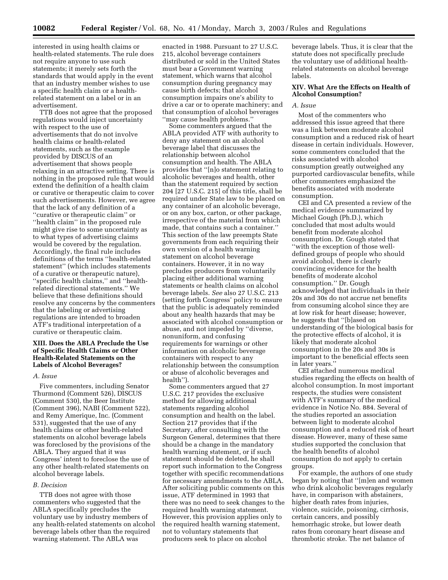interested in using health claims or health-related statements. The rule does not require anyone to use such statements; it merely sets forth the standards that would apply in the event that an industry member wishes to use a specific health claim or a healthrelated statement on a label or in an advertisement.

TTB does not agree that the proposed regulations would inject uncertainty with respect to the use of advertisements that do not involve health claims or health-related statements, such as the example provided by DISCUS of an advertisement that shows people relaxing in an attractive setting. There is nothing in the proposed rule that would extend the definition of a health claim or curative or therapeutic claim to cover such advertisements. However, we agree that the lack of any definition of a ''curative or therapeutic claim'' or ''health claim'' in the proposed rule might give rise to some uncertainty as to what types of advertising claims would be covered by the regulation. Accordingly, the final rule includes definitions of the terms ''health-related statement'' (which includes statements of a curative or therapeutic nature), ''specific health claims,'' and ''healthrelated directional statements.'' We believe that these definitions should resolve any concerns by the commenters that the labeling or advertising regulations are intended to broaden ATF's traditional interpretation of a curative or therapeutic claim.

## **XIII. Does the ABLA Preclude the Use of Specific Health Claims or Other Health-Related Statements on the Labels of Alcohol Beverages?**

#### *A. Issue*

Five commenters, including Senator Thurmond (Comment 526), DISCUS (Comment 530), the Beer Institute (Comment 396), NABI (Comment 522), and Remy Amerique, Inc. (Comment 531), suggested that the use of any health claims or other health-related statements on alcohol beverage labels was foreclosed by the provisions of the ABLA. They argued that it was Congress' intent to foreclose the use of any other health-related statements on alcohol beverage labels.

## *B. Decision*

TTB does not agree with those commenters who suggested that the ABLA specifically precludes the voluntary use by industry members of any health-related statements on alcohol beverage labels other than the required warning statement. The ABLA was

enacted in 1988. Pursuant to 27 U.S.C. 215, alcohol beverage containers distributed or sold in the United States must bear a Government warning statement, which warns that alcohol consumption during pregnancy may cause birth defects; that alcohol consumption impairs one's ability to drive a car or to operate machinery; and that consumption of alcohol beverages ''may cause health problems.''

Some commenters argued that the ABLA provided ATF with authority to deny any statement on an alcohol beverage label that discusses the relationship between alcohol consumption and health. The ABLA provides that ''[n]o statement relating to alcoholic beverages and health, other than the statement required by section 204 [27 U.S.C. 215] of this title, shall be required under State law to be placed on any container of an alcoholic beverage, or on any box, carton, or other package, irrespective of the material from which made, that contains such a container.'' This section of the law preempts State governments from each requiring their own version of a health warning statement on alcohol beverage containers. However, it in no way precludes producers from voluntarily placing either additional warning statements or health claims on alcohol beverage labels. *See* also 27 U.S.C. 213 (setting forth Congress' policy to ensure that the public is adequately reminded about any health hazards that may be associated with alcohol consumption or abuse, and not impeded by ''diverse, nonuniform, and confusing requirements for warnings or other information on alcoholic beverage containers with respect to any relationship between the consumption or abuse of alcoholic beverages and health'').

Some commenters argued that 27 U.S.C. 217 provides the exclusive method for allowing additional statements regarding alcohol consumption and health on the label. Section 217 provides that if the Secretary, after consulting with the Surgeon General, determines that there should be a change in the mandatory health warning statement, or if such statement should be deleted, he shall report such information to the Congress together with specific recommendations for necessary amendments to the ABLA. After soliciting public comments on this issue, ATF determined in 1993 that there was no need to seek changes to the required health warning statement. However, this provision applies only to the required health warning statement, not to voluntary statements that producers seek to place on alcohol

beverage labels. Thus, it is clear that the statute does not specifically preclude the voluntary use of additional healthrelated statements on alcohol beverage labels.

## **XIV. What Are the Effects on Health of Alcohol Consumption?**

#### *A. Issue*

Most of the commenters who addressed this issue agreed that there was a link between moderate alcohol consumption and a reduced risk of heart disease in certain individuals. However, some commenters concluded that the risks associated with alcohol consumption greatly outweighed any purported cardiovascular benefits, while other commenters emphasized the benefits associated with moderate consumption.

CEI and CA presented a review of the medical evidence summarized by Michael Gough (Ph.D.), which concluded that most adults would benefit from moderate alcohol consumption. Dr. Gough stated that ''with the exception of those welldefined groups of people who should avoid alcohol, there is clearly convincing evidence for the health benefits of moderate alcohol consumption.'' Dr. Gough acknowledged that individuals in their 20s and 30s do not accrue net benefits from consuming alcohol since they are at low risk for heart disease; however, he suggests that ''[b]ased on understanding of the biological basis for the protective effects of alcohol, it is likely that moderate alcohol consumption in the 20s and 30s is important to the beneficial effects seen in later years.''

CEI attached numerous medical studies regarding the effects on health of alcohol consumption. In most important respects, the studies were consistent with ATF's summary of the medical evidence in Notice No. 884. Several of the studies reported an association between light to moderate alcohol consumption and a reduced risk of heart disease. However, many of these same studies supported the conclusion that the health benefits of alcohol consumption do not apply to certain groups.

For example, the authors of one study began by noting that ''[m]en and women who drink alcoholic beverages regularly have, in comparison with abstainers, higher death rates from injuries, violence, suicide, poisoning, cirrhosis, certain cancers, and possibly hemorrhagic stroke, but lower death rates from coronary heart disease and thrombotic stroke. The net balance of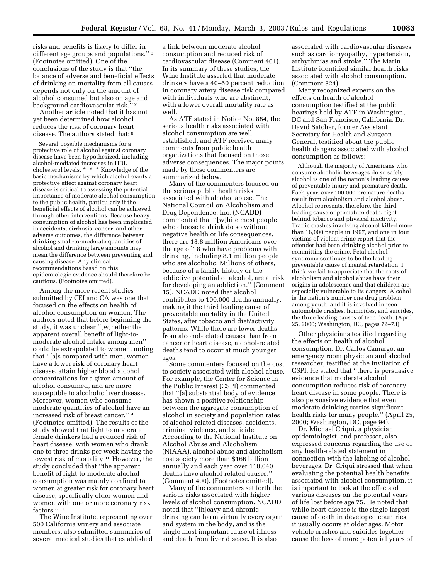risks and benefits is likely to differ in different age groups and populations.'' 6 (Footnotes omitted). One of the conclusions of the study is that ''the balance of adverse and beneficial effects of drinking on mortality from all causes depends not only on the amount of alcohol consumed but also on age and background cardiovascular risk.'' 7

Another article noted that it has not yet been determined how alcohol reduces the risk of coronary heart disease. The authors stated that: 8

Several possible mechanisms for a protective role of alcohol against coronary disease have been hypothesized, including alcohol-mediated increases in HDL cholesterol levels. \* \* \* Knowledge of the basic mechanisms by which alcohol exerts a protective effect against coronary heart disease is critical to assessing the potential importance of moderate alcohol consumption to the public health, particularly if the beneficial effects of alcohol can be achieved through other interventions. Because heavy consumption of alcohol has been implicated in accidents, cirrhosis, cancer, and other adverse outcomes, the difference between drinking small-to-moderate quantities of alcohol and drinking large amounts may mean the difference between preventing and causing disease. Any clinical recommendations based on this epidemiologic evidence should therefore be cautious. (Footnotes omitted).

Among the more recent studies submitted by CEI and CA was one that focused on the effects on health of alcohol consumption on women. The authors noted that before beginning the study, it was unclear ''[w]hether the apparent overall benefit of light-tomoderate alcohol intake among men'' could be extrapolated to women, noting that ''[a]s compared with men, women have a lower risk of coronary heart disease, attain higher blood alcohol concentrations for a given amount of alcohol consumed, and are more susceptible to alcoholic liver disease. Moreover, women who consume moderate quantities of alcohol have an increased risk of breast cancer.'' 9 (Footnotes omitted). The results of the study showed that light to moderate female drinkers had a reduced risk of heart disease, with women who drank one to three drinks per week having the lowest risk of mortality.10 However, the study concluded that ''the apparent benefit of light-to-moderate alcohol consumption was mainly confined to women at greater risk for coronary heart disease, specifically older women and women with one or more coronary risk factors.'' 11

The Wine Institute, representing over 500 California winery and associate members, also submitted summaries of several medical studies that established

a link between moderate alcohol consumption and reduced risk of cardiovascular disease (Comment 401). In its summary of these studies, the Wine Institute asserted that moderate drinkers have a 40–50 percent reduction in coronary artery disease risk compared with individuals who are abstinent, with a lower overall mortality rate as well.

As ATF stated in Notice No. 884, the serious health risks associated with alcohol consumption are well established, and ATF received many comments from public health organizations that focused on those adverse consequences. The major points made by these commenters are summarized below.

Many of the commenters focused on the serious public health risks associated with alcohol abuse. The National Council on Alcoholism and Drug Dependence, Inc. (NCADD) commented that ''[w]hile most people who choose to drink do so without negative health or life consequences, there are 13.8 million Americans over the age of 18 who have problems with drinking, including 8.1 million people who are alcoholic. Millions of others, because of a family history or the addictive potential of alcohol, are at risk for developing an addiction.'' (Comment 15). NCADD noted that alcohol contributes to 100,000 deaths annually, making it the third leading cause of preventable mortality in the United States, after tobacco and diet/activity patterns. While there are fewer deaths from alcohol-related causes than from cancer or heart disease, alcohol-related deaths tend to occur at much younger ages.

Some commenters focused on the cost to society associated with alcohol abuse. For example, the Center for Science in the Public Interest (CSPI) commented that ''[a] substantial body of evidence has shown a positive relationship between the aggregate consumption of alcohol in society and population rates of alcohol-related diseases, accidents, criminal violence, and suicide. According to the National Institute on Alcohol Abuse and Alcoholism (NIAAA), alcohol abuse and alcoholism cost society more than \$166 billion annually and each year over 110,640 deaths have alcohol-related causes.'' (Comment 400). (Footnotes omitted).

Many of the commenters set forth the serious risks associated with higher levels of alcohol consumption. NCADD noted that ''[h]eavy and chronic drinking can harm virtually every organ and system in the body, and is the single most important cause of illness and death from liver disease. It is also

associated with cardiovascular diseases such as cardiomyopathy, hypertension, arrhythmias and stroke.'' The Marin Institute identified similar health risks associated with alcohol consumption. (Comment 324).

Many recognized experts on the effects on health of alcohol consumption testified at the public hearings held by ATF in Washington, DC and San Francisco, California. Dr. David Satcher, former Assistant Secretary for Health and Surgeon General, testified about the public health dangers associated with alcohol consumption as follows:

Although the majority of Americans who consume alcoholic beverages do so safely, alcohol is one of the nation's leading causes of preventable injury and premature death. Each year, over 100,000 premature deaths result from alcoholism and alcohol abuse. Alcohol represents, therefore, the third leading cause of premature death, right behind tobacco and physical inactivity. Traffic crashes involving alcohol killed more than 16,000 people in 1997, and one in four victims of violent crime report that the offender had been drinking alcohol prior to committing the crime. Fetal alcohol syndrome continues to be the leading preventable cause of mental retardation. I think we fail to appreciate that the roots of alcoholism and alcohol abuse have their origins in adolescence and that children are especially vulnerable to its dangers. Alcohol is the nation's number one drug problem among youth, and it is involved in teen automobile crashes, homicides, and suicides, the three leading causes of teen death. (April 25, 2000; Washington, DC, pages 72–73).

Other physicians testified regarding the effects on health of alcohol consumption. Dr. Carlos Camargo, an emergency room physician and alcohol researcher, testified at the invitation of CSPI. He stated that ''there is persuasive evidence that moderate alcohol consumption reduces risk of coronary heart disease in some people. There is also persuasive evidence that even moderate drinking carries significant health risks for many people.'' (April 25, 2000; Washington, DC, page 94).

Dr. Michael Criqui, a physician, epidemiologist, and professor, also expressed concerns regarding the use of any health-related statement in connection with the labeling of alcohol beverages. Dr. Criqui stressed that when evaluating the potential health benefits associated with alcohol consumption, it is important to look at the effects of various diseases on the potential years of life lost before age 75. He noted that while heart disease is the single largest cause of death in developed countries, it usually occurs at older ages. Motor vehicle crashes and suicides together cause the loss of more potential years of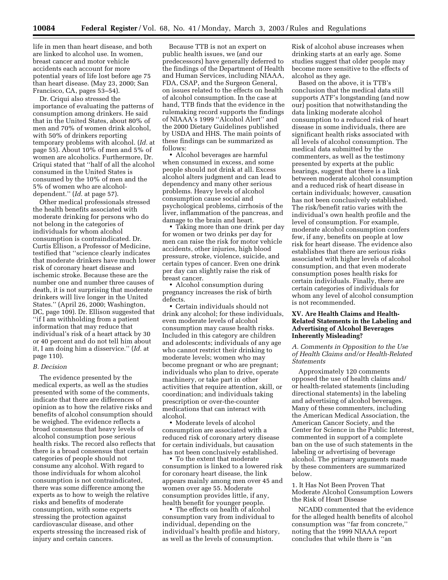life in men than heart disease, and both are linked to alcohol use. In women, breast cancer and motor vehicle accidents each account for more potential years of life lost before age 75 than heart disease. (May 23, 2000; San Francisco, CA, pages 53–54).

Dr. Criqui also stressed the importance of evaluating the patterns of consumption among drinkers. He said that in the United States, about 80% of men and 70% of women drink alcohol, with 50% of drinkers reporting temporary problems with alcohol. (*Id.* at page 55). About 10% of men and 5% of women are alcoholics. Furthermore, Dr. Criqui stated that ''half of all the alcohol consumed in the United States is consumed by the 10% of men and the 5% of women who are alcoholdependent.'' (*Id.* at page 57).

Other medical professionals stressed the health benefits associated with moderate drinking for persons who do not belong in the categories of individuals for whom alcohol consumption is contraindicated. Dr. Curtis Ellison, a Professor of Medicine, testified that ''science clearly indicates that moderate drinkers have much lower risk of coronary heart disease and ischemic stroke. Because these are the number one and number three causes of death, it is not surprising that moderate drinkers will live longer in the United States.'' (April 26, 2000; Washington, DC, page 109). Dr. Ellison suggested that ''if I am withholding from a patient information that may reduce that individual's risk of a heart attack by 30 or 40 percent and do not tell him about it, I am doing him a disservice.'' (*Id.* at page 110).

#### *B. Decision*

The evidence presented by the medical experts, as well as the studies presented with some of the comments, indicate that there are differences of opinion as to how the relative risks and benefits of alcohol consumption should be weighed. The evidence reflects a broad consensus that heavy levels of alcohol consumption pose serious health risks. The record also reflects that there is a broad consensus that certain categories of people should not consume any alcohol. With regard to those individuals for whom alcohol consumption is not contraindicated, there was some difference among the experts as to how to weigh the relative risks and benefits of moderate consumption, with some experts stressing the protection against cardiovascular disease, and other experts stressing the increased risk of injury and certain cancers.

Because TTB is not an expert on public health issues, we (and our predecessors) have generally deferred to the findings of the Department of Health and Human Services, including NIAAA, FDA, CSAP, and the Surgeon General, on issues related to the effects on health of alcohol consumption. In the case at hand, TTB finds that the evidence in the rulemaking record supports the findings of NIAAA's 1999 ''Alcohol Alert'' and the 2000 Dietary Guidelines published by USDA and HHS. The main points of these findings can be summarized as follows:

• Alcohol beverages are harmful when consumed in excess, and some people should not drink at all. Excess alcohol alters judgment and can lead to dependency and many other serious problems. Heavy levels of alcohol consumption cause social and psychological problems, cirrhosis of the liver, inflammation of the pancreas, and damage to the brain and heart.

• Taking more than one drink per day for women or two drinks per day for men can raise the risk for motor vehicle accidents, other injuries, high blood pressure, stroke, violence, suicide, and certain types of cancer. Even one drink per day can slightly raise the risk of breast cancer.

• Alcohol consumption during pregnancy increases the risk of birth defects.

• Certain individuals should not drink any alcohol; for these individuals, even moderate levels of alcohol consumption may cause health risks. Included in this category are children and adolescents; individuals of any age who cannot restrict their drinking to moderate levels; women who may become pregnant or who are pregnant; individuals who plan to drive, operate machinery, or take part in other activities that require attention, skill, or coordination; and individuals taking prescription or over-the-counter medications that can interact with alcohol.

• Moderate levels of alcohol consumption are associated with a reduced risk of coronary artery disease for certain individuals, but causation has not been conclusively established.

• To the extent that moderate consumption is linked to a lowered risk for coronary heart disease, the link appears mainly among men over 45 and women over age 55. Moderate consumption provides little, if any, health benefit for younger people.

• The effects on health of alcohol consumption vary from individual to individual, depending on the individual's health profile and history, as well as the levels of consumption.

Risk of alcohol abuse increases when drinking starts at an early age. Some studies suggest that older people may become more sensitive to the effects of alcohol as they age.

Based on the above, it is TTB's conclusion that the medical data still supports ATF's longstanding (and now our) position that notwithstanding the data linking moderate alcohol consumption to a reduced risk of heart disease in some individuals, there are significant health risks associated with all levels of alcohol consumption. The medical data submitted by the commenters, as well as the testimony presented by experts at the public hearings, suggest that there is a link between moderate alcohol consumption and a reduced risk of heart disease in certain individuals; however, causation has not been conclusively established. The risk/benefit ratio varies with the individual's own health profile and the level of consumption. For example, moderate alcohol consumption confers few, if any, benefits on people at low risk for heart disease. The evidence also establishes that there are serious risks associated with higher levels of alcohol consumption, and that even moderate consumption poses health risks for certain individuals. Finally, there are certain categories of individuals for whom any level of alcohol consumption is not recommended.

## **XV. Are Health Claims and Health-Related Statements in the Labeling and Advertising of Alcohol Beverages Inherently Misleading?**

*A. Comments in Opposition to the Use of Health Claims and/or Health-Related Statements* 

Approximately 120 comments opposed the use of health claims and/ or health-related statements (including directional statements) in the labeling and advertising of alcohol beverages. Many of these commenters, including the American Medical Association, the American Cancer Society, and the Center for Science in the Public Interest, commented in support of a complete ban on the use of such statements in the labeling or advertising of beverage alcohol. The primary arguments made by these commenters are summarized below.

1. It Has Not Been Proven That Moderate Alcohol Consumption Lowers the Risk of Heart Disease

NCADD commented that the evidence for the alleged health benefits of alcohol consumption was ''far from concrete,'' noting that the 1999 NIAAA report concludes that while there is ''an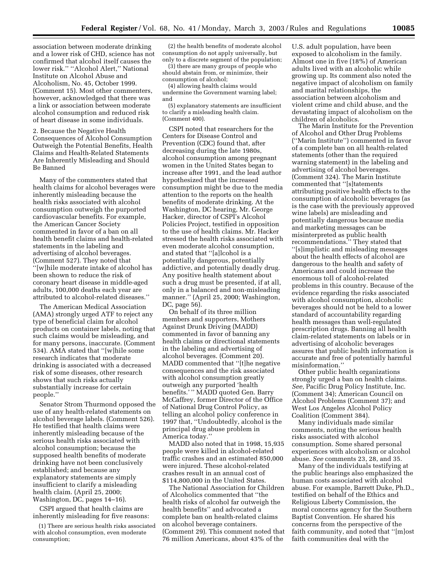association between moderate drinking and a lower risk of CHD, science has not confirmed that alcohol itself causes the lower risk.'' ''Alcohol Alert,'' National Institute on Alcohol Abuse and Alcoholism, No. 45, October 1999. (Comment 15). Most other commenters, however, acknowledged that there was a link or association between moderate alcohol consumption and reduced risk of heart disease in some individuals.

2. Because the Negative Health Consequences of Alcohol Consumption Outweigh the Potential Benefits, Health Claims and Health-Related Statements Are Inherently Misleading and Should Be Banned

Many of the commenters stated that health claims for alcohol beverages were inherently misleading because the health risks associated with alcohol consumption outweigh the purported cardiovascular benefits. For example, the American Cancer Society commented in favor of a ban on all health benefit claims and health-related statements in the labeling and advertising of alcohol beverages. (Comment 527). They noted that ''[w]hile moderate intake of alcohol has been shown to reduce the risk of coronary heart disease in middle-aged adults, 100,000 deaths each year are attributed to alcohol-related diseases.''

The American Medical Association (AMA) strongly urged ATF to reject any type of beneficial claim for alcohol products on container labels, noting that such claims would be misleading, and for many persons, inaccurate. (Comment 534). AMA stated that ''[w]hile some research indicates that moderate drinking is associated with a decreased risk of some diseases, other research shows that such risks actually substantially increase for certain people.''

Senator Strom Thurmond opposed the use of any health-related statements on alcohol beverage labels. (Comment 526). He testified that health claims were inherently misleading because of the serious health risks associated with alcohol consumption; because the supposed health benefits of moderate drinking have not been conclusively established; and because any explanatory statements are simply insufficient to clarify a misleading health claim. (April 25, 2000; Washington, DC, pages 14–16).

CSPI argued that health claims are inherently misleading for five reasons:

(1) There are serious health risks associated with alcohol consumption, even moderate consumption;

(2) the health benefits of moderate alcohol consumption do not apply universally, but only to a discrete segment of the population;

(3) there are many groups of people who should abstain from, or minimize, their consumption of alcohol;

(4) allowing health claims would undermine the Government warning label; and

(5) explanatory statements are insufficient to clarify a misleading health claim. (Comment 400).

CSPI noted that researchers for the Centers for Disease Control and Prevention (CDC) found that, after decreasing during the late 1980s, alcohol consumption among pregnant women in the United States began to increase after 1991, and the lead author hypothesized that the increased consumption might be due to the media attention to the reports on the health benefits of moderate drinking. At the Washington, DC hearing, Mr. George Hacker, director of CSPI's Alcohol Policies Project, testified in opposition to the use of health claims. Mr. Hacker stressed the health risks associated with even moderate alcohol consumption, and stated that ''[a]lcohol is a potentially dangerous, potentially addictive, and potentially deadly drug. Any positive health statement about such a drug must be presented, if at all, only in a balanced and non-misleading manner.'' (April 25, 2000; Washington, DC, page 56).

On behalf of its three million members and supporters, Mothers Against Drunk Driving (MADD) commented in favor of banning any health claims or directional statements in the labeling and advertising of alcohol beverages. (Comment 20). MADD commented that ''[t]he negative consequences and the risk associated with alcohol consumption greatly outweigh any purported 'health benefits.' '' MADD quoted Gen. Barry McCaffrey, former Director of the Office of National Drug Control Policy, as telling an alcohol policy conference in 1997 that, ''Undoubtedly, alcohol is the principal drug abuse problem in America today.''

MADD also noted that in 1998, 15,935 people were killed in alcohol-related traffic crashes and an estimated 850,000 were injured. These alcohol-related crashes result in an annual cost of \$114,800,000 in the United States.

The National Association for Children of Alcoholics commented that ''the health risks of alcohol far outweigh the health benefits'' and advocated a complete ban on health-related claims on alcohol beverage containers. (Comment 29). This comment noted that 76 million Americans, about 43% of the

U.S. adult population, have been exposed to alcoholism in the family. Almost one in five (18%) of American adults lived with an alcoholic while growing up. Its comment also noted the negative impact of alcoholism on family and marital relationships, the association between alcoholism and violent crime and child abuse, and the devastating impact of alcoholism on the children of alcoholics.

The Marin Institute for the Prevention of Alcohol and Other Drug Problems (''Marin Institute'') commented in favor of a complete ban on all health-related statements (other than the required warning statement) in the labeling and advertising of alcohol beverages. (Comment 324). The Marin Institute commented that ''[s]tatements attributing positive health effects to the consumption of alcoholic beverages (as is the case with the previously approved wine labels) are misleading and potentially dangerous because media and marketing messages can be misinterpreted as public health recommendations.'' They stated that ''[s]implistic and misleading messages about the health effects of alcohol are dangerous to the health and safety of Americans and could increase the enormous toll of alcohol-related problems in this country. Because of the evidence regarding the risks associated with alcohol consumption, alcoholic beverages should not be held to a lower standard of accountability regarding health messages than well-regulated prescription drugs. Banning all health claim-related statements on labels or in advertising of alcoholic beverages assures that public health information is accurate and free of potentially harmful misinformation.''

Other public health organizations strongly urged a ban on health claims. *See,* Pacific Drug Policy Institute, Inc. (Comment 34); American Council on Alcohol Problems (Comment 37); and West Los Angeles Alcohol Policy Coalition (Comment 384).

Many individuals made similar comments, noting the serious health risks associated with alcohol consumption. Some shared personal experiences with alcoholism or alcohol abuse. *See* comments 23, 28, and 35.

Many of the individuals testifying at the public hearings also emphasized the human costs associated with alcohol abuse. For example, Barrett Duke, Ph.D., testified on behalf of the Ethics and Religious Liberty Commission, the moral concerns agency for the Southern Baptist Convention. He shared his concerns from the perspective of the faith community, and noted that ''[m]ost faith communities deal with the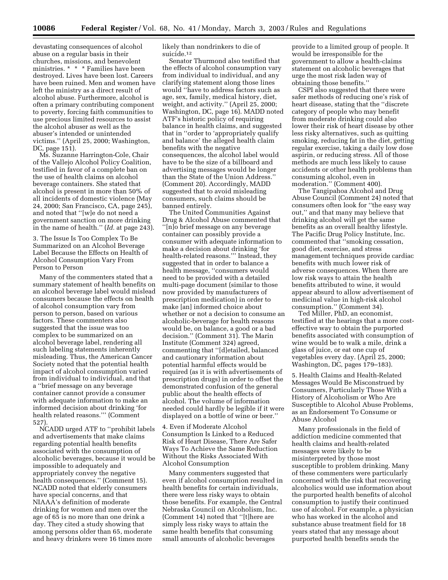devastating consequences of alcohol abuse on a regular basis in their churches, missions, and benevolent ministries. \* \* \* Families have been destroyed. Lives have been lost. Careers have been ruined. Men and women have left the ministry as a direct result of alcohol abuse. Furthermore, alcohol is often a primary contributing component to poverty, forcing faith communities to use precious limited resources to assist the alcohol abuser as well as the abuser's intended or unintended victims.'' (April 25, 2000; Washington, DC, page 151).

Ms. Suzanne Harrington-Cole, Chair of the Vallejo Alcohol Policy Coalition, testified in favor of a complete ban on the use of health claims on alcohol beverage containers. She stated that alcohol is present in more than 50% of all incidents of domestic violence (May 24, 2000; San Francisco, CA, page 245), and noted that ''[w]e do not need a government sanction on more drinking in the name of health.'' (*Id.* at page 243).

3. The Issue Is Too Complex To Be Summarized on an Alcohol Beverage Label Because the Effects on Health of Alcohol Consumption Vary From Person to Person

Many of the commenters stated that a summary statement of health benefits on an alcohol beverage label would mislead consumers because the effects on health of alcohol consumption vary from person to person, based on various factors. These commenters also suggested that the issue was too complex to be summarized on an alcohol beverage label, rendering all such labeling statements inherently misleading. Thus, the American Cancer Society noted that the potential health impact of alcohol consumption varied from individual to individual, and that a ''brief message on any beverage container cannot provide a consumer with adequate information to make an informed decision about drinking 'for health related reasons.''' (Comment 527).

NCADD urged ATF to ''prohibit labels and advertisements that make claims regarding potential health benefits associated with the consumption of alcoholic beverages, because it would be impossible to adequately and appropriately convey the negative health consequences.'' (Comment 15). NCADD noted that elderly consumers have special concerns, and that NIAAA's definition of moderate drinking for women and men over the age of 65 is no more than one drink a day. They cited a study showing that among persons older than 65, moderate and heavy drinkers were 16 times more

likely than nondrinkers to die of suicide.12

Senator Thurmond also testified that the effects of alcohol consumption vary from individual to individual, and any clarifying statement along those lines would ''have to address factors such as age, sex, family, medical history, diet, weight, and activity.'' (April 25, 2000; Washington, DC, page 16). MADD noted ATF's historic policy of requiring balance in health claims, and suggested that in ''order to 'appropriately qualify and balance' the alleged health claim benefits with the negative consequences, the alcohol label would have to be the size of a billboard and advertising messages would be longer than the State of the Union Address.'' (Comment 20). Accordingly, MADD suggested that to avoid misleading consumers, such claims should be banned entirely.

The United Communities Against Drug & Alcohol Abuse commented that ''[n]o brief message on any beverage container can possibly provide a consumer with adequate information to make a decision about drinking 'for health-related reasons.''' Instead, they suggested that in order to balance a health message, ''consumers would need to be provided with a detailed multi-page document (similar to those now provided by manufacturers of prescription medication) in order to make [an] informed choice about whether or not a decision to consume an alcoholic-beverage for health reasons would be, on balance, a good or a bad decision.'' (Comment 31). The Marin Institute (Comment 324) agreed, commenting that ''[d]etailed, balanced and cautionary information about potential harmful effects would be required (as it is with advertisements of prescription drugs) in order to offset the demonstrated confusion of the general public about the health effects of alcohol. The volume of information needed could hardly be legible if it were displayed on a bottle of wine or beer.''

4. Even if Moderate Alcohol Consumption Is Linked to a Reduced Risk of Heart Disease, There Are Safer Ways To Achieve the Same Reduction Without the Risks Associated With Alcohol Consumption

Many commenters suggested that even if alcohol consumption resulted in health benefits for certain individuals, there were less risky ways to obtain those benefits. For example, the Central Nebraska Council on Alcoholism, Inc. (Comment 14) noted that ''[t]here are simply less risky ways to attain the same health benefits that consuming small amounts of alcoholic beverages

provide to a limited group of people. It would be irresponsible for the government to allow a health-claims statement on alcoholic beverages that urge the most risk laden way of obtaining those benefits.''

CSPI also suggested that there were safer methods of reducing one's risk of heart disease, stating that the ''discrete category of people who may benefit from moderate drinking could also lower their risk of heart disease by other less risky alternatives, such as quitting smoking, reducing fat in the diet, getting regular exercise, taking a daily low dose aspirin, or reducing stress. All of those methods are much less likely to cause accidents or other health problems than consuming alcohol, even in moderation.'' (Comment 400).

The Tangipahoa Alcohol and Drug Abuse Council (Comment 24) noted that consumers often look for ''the easy way out,'' and that many may believe that drinking alcohol will get the same benefits as an overall healthy lifestyle. The Pacific Drug Policy Institute, Inc. commented that ''smoking cessation, good diet, exercise, and stress management techniques provide cardiac benefits with much lower risk of adverse consequences. When there are low risk ways to attain the health benefits attributed to wine, it would appear absurd to allow advertisement of medicinal value in high-risk alcohol consumption.'' (Comment 34).

Ted Miller, PhD, an economist, testified at the hearings that a more costeffective way to obtain the purported benefits associated with consumption of wine would be to walk a mile, drink a glass of juice, or eat one cup of vegetables every day. (April 25, 2000; Washington, DC, pages 179–183).

5. Health Claims and Health-Related Messages Would Be Misconstrued by Consumers, Particularly Those With a History of Alcoholism or Who Are Susceptible to Alcohol Abuse Problems, as an Endorsement To Consume or Abuse Alcohol

Many professionals in the field of addiction medicine commented that health claims and health-related messages were likely to be misinterpreted by those most susceptible to problem drinking. Many of these commenters were particularly concerned with the risk that recovering alcoholics would use information about the purported health benefits of alcohol consumption to justify their continued use of alcohol. For example, a physician who has worked in the alcohol and substance abuse treatment field for 18 years stated that any message about purported health benefits sends the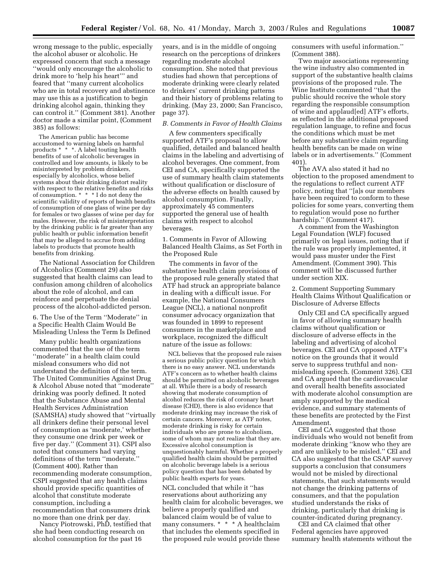wrong message to the public, especially the alcohol abuser or alcoholic. He expressed concern that such a message ''would only encourage the alcoholic to drink more to 'help his heart''' and feared that ''many current alcoholics who are in total recovery and abstinence may use this as a justification to begin drinking alcohol again, thinking they can control it.'' (Comment 381). Another doctor made a similar point, (Comment 385) as follows:

The American public has become accustomed to warning labels on harmful products \* \* \*. A label touting health benefits of use of alcoholic beverages in controlled and low amounts, is likely to be misinterpreted by problem drinkers, especially by alcoholics, whose belief systems about their drinking distort reality with respect to the relative benefits and risks of consumption. \* \* \* I do not deny the scientific validity of reports of health benefits of consumption of one glass of wine per day for females or two glasses of wine per day for males. However, the risk of misinterpretation by the drinking public is far greater than any public health or public information benefit that may be alleged to accrue from adding labels to products that promote health benefits from drinking.

The National Association for Children of Alcoholics (Comment 29) also suggested that health claims can lead to confusion among children of alcoholics about the role of alcohol, and can reinforce and perpetuate the denial process of the alcohol-addicted person.

6. The Use of the Term ''Moderate'' in a Specific Health Claim Would Be Misleading Unless the Term Is Defined

Many public health organizations commented that the use of the term ''moderate'' in a health claim could mislead consumers who did not understand the definition of the term. The United Communities Against Drug & Alcohol Abuse noted that ''moderate'' drinking was poorly defined. It noted that the Substance Abuse and Mental Health Services Administration (SAMSHA) study showed that ''virtually all drinkers define their personal level of consumption as 'moderate,' whether they consume one drink per week or five per day.'' (Comment 31). CSPI also noted that consumers had varying definitions of the term ''moderate.'' (Comment 400). Rather than recommending moderate consumption, CSPI suggested that any health claims should provide specific quantities of alcohol that constitute moderate consumption, including a recommendation that consumers drink no more than one drink per day.

Nancy Piotrowski, PhD, testified that she had been conducting research on alcohol consumption for the past 16

years, and is in the middle of ongoing research on the perceptions of drinkers regarding moderate alcohol consumption. She noted that previous studies had shown that perceptions of moderate drinking were clearly related to drinkers' current drinking patterns and their history of problems relating to drinking. (May 23, 2000; San Francisco, page 37).

## *B. Comments in Favor of Health Claims*

A few commenters specifically supported ATF's proposal to allow qualified, detailed and balanced health claims in the labeling and advertising of alcohol beverages. One comment, from CEI and CA, specifically supported the use of summary health claim statements without qualification or disclosure of the adverse effects on health caused by alcohol consumption. Finally, approximately 45 commenters supported the general use of health claims with respect to alcohol beverages.

1. Comments in Favor of Allowing Balanced Health Claims, as Set Forth in the Proposed Rule

The comments in favor of the substantive health claim provisions of the proposed rule generally stated that ATF had struck an appropriate balance in dealing with a difficult issue. For example, the National Consumers League (NCL), a national nonprofit consumer advocacy organization that was founded in 1899 to represent consumers in the marketplace and workplace, recognized the difficult nature of the issue as follows:

NCL believes that the proposed rule raises a serious public policy question for which there is no easy answer. NCL understands ATF's concern as to whether health claims should be permitted on alcoholic beverages at all. While there is a body of research showing that moderate consumption of alcohol reduces the risk of coronary heart disease (CHD), there is also evidence that moderate drinking may increase the risk of certain cancers. Moreover, as ATF notes, moderate drinking is risky for certain individuals who are prone to alcoholism, some of whom may not realize that they are. Excessive alcohol consumption is unquestionably harmful. Whether a properly qualified health claim should be permitted on alcoholic beverage labels is a serious policy question that has been debated by public health experts for years.

NCL concluded that while it ''has reservations about authorizing any health claim for alcoholic beverages, we believe a properly qualified and balanced claim would be of value to many consumers. \* \* \* A healthclaim that includes the elements specified in the proposed rule would provide these

consumers with useful information.'' (Comment 388).

Two major associations representing the wine industry also commented in support of the substantive health claims provisions of the proposed rule. The Wine Institute commented ''that the public should receive the whole story regarding the responsible consumption of wine and applaud[ed] ATF's efforts, as reflected in the additional proposed regulation language, to refine and focus the conditions which must be met before any substantive claim regarding health benefits can be made on wine labels or in advertisements.'' (Comment 401).

The AVA also stated it had no objection to the proposed amendment to the regulations to reflect current ATF policy, noting that ''[a]s our members have been required to conform to these policies for some years, converting them to regulation would pose no further hardship.'' (Comment 417).

A comment from the Washington Legal Foundation (WLF) focused primarily on legal issues, noting that if the rule was properly implemented, it would pass muster under the First Amendment. (Comment 390). This comment will be discussed further under section XIX.

2. Comment Supporting Summary Health Claims Without Qualification or Disclosure of Adverse Effects

Only CEI and CA specifically argued in favor of allowing summary health claims without qualification or disclosure of adverse effects in the labeling and advertising of alcohol beverages. CEI and CA opposed ATF's notice on the grounds that it would serve to suppress truthful and nonmisleading speech. (Comment 326). CEI and CA argued that the cardiovascular and overall health benefits associated with moderate alcohol consumption are amply supported by the medical evidence, and summary statements of these benefits are protected by the First Amendment.

CEI and CA suggested that those individuals who would not benefit from moderate drinking ''know who they are and are unlikely to be misled.'' CEI and CA also suggested that the CSAP survey supports a conclusion that consumers would not be misled by directional statements, that such statements would not change the drinking patterns of consumers, and that the population studied understands the risks of drinking, particularly that drinking is counter-indicated during pregnancy.

CEI and CA claimed that other Federal agencies have approved summary health statements without the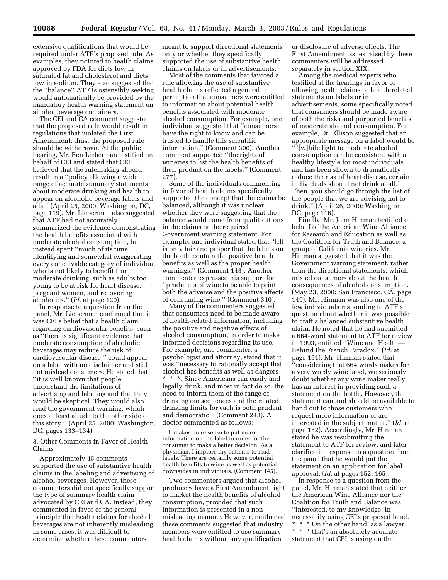extensive qualifications that would be required under ATF's proposed rule. As examples, they pointed to health claims approved by FDA for diets low in saturated fat and cholesterol and diets low in sodium. They also suggested that the ''balance'' ATF is ostensibly seeking would automatically be provided by the mandatory health warning statement on alcohol beverage containers.

The CEI and CA comment suggested that the proposed rule would result in regulations that violated the First Amendment; thus, the proposed rule should be withdrawn. At the public hearing, Mr. Ben Lieberman testified on behalf of CEI and stated that CEI believed that the rulemaking should result in a ''policy allowing a wide range of accurate summary statements about moderate drinking and health to appear on alcoholic beverage labels and ads.'' (April 25, 2000; Washington, DC, page 119). Mr. Lieberman also suggested that ATF had not accurately summarized the evidence demonstrating the health benefits associated with moderate alcohol consumption, but instead spent ''much of its time identifying and somewhat exaggerating every conceivable category of individual who is not likely to benefit from moderate drinking, such as adults too young to be at risk for heart disease, pregnant women, and recovering alcoholics.'' (*Id.* at page 120).

In response to a question from the panel, Mr. Lieberman confirmed that it was CEI's belief that a health claim regarding cardiovascular benefits, such as ''there is significant evidence that moderate consumption of alcoholic beverages may reduce the risk of cardiovascular disease,'' could appear on a label with no disclaimer and still not mislead consumers. He stated that ''it is well known that people understand the limitations of advertising and labeling and that they would be skeptical. They would also read the government warning, which does at least allude to the other side of this story.'' (April 25, 2000; Washington, DC, pages 133–134).

3. Other Comments in Favor of Health Claims

Approximately 45 comments supported the use of substantive health claims in the labeling and advertising of alcohol beverages. However, these commenters did not specifically support the type of summary health claim advocated by CEI and CA. Instead, they commented in favor of the general principle that health claims for alcohol beverages are not inherently misleading. In some cases, it was difficult to determine whether these commenters

meant to support directional statements only or whether they specifically supported the use of substantive health claims on labels or in advertisements.

Most of the comments that favored a rule allowing the use of substantive health claims reflected a general perception that consumers were entitled to information about potential health benefits associated with moderate alcohol consumption. For example, one individual suggested that ''consumers have the right to know and can be trusted to handle this scientific information.'' (Comment 300). Another comment supported ''the rights of wineries to list the health benefits of their product on the labels.'' (Comment 277).

Some of the individuals commenting in favor of health claims specifically supported the concept that the claims be balanced, although it was unclear whether they were suggesting that the balance would come from qualifications in the claims or the required Government warning statement. For example, one individual stated that ''[i]t is only fair and proper that the labels on the bottle contain the positive health benefits as well as the proper health warnings.'' (Comment 143). Another commenter expressed his support for ''producers of wine to be able to print both the adverse and the positive effects of consuming wine.'' (Comment 340).

Many of the commenters suggested that consumers need to be made aware of health-related information, including the positive and negative effects of alcohol consumption, in order to make informed decisions regarding its use. For example, one commenter, a psychologist and attorney, stated that it was ''necessary to rationally accept that alcohol has benefits as well as dangers \* \* \*. Since Americans can easily and legally drink, and most in fact do so, the need to inform them of the range of drinking consequences and the related drinking limits for each is both prudent and democratic.'' (Comment 243). A doctor commented as follows:

It makes more sense to put more information on the label in order for the consumer to make a better decision. As a physician, I implore my patients to read labels. There are certainly some potential health benefits to wine as well as potential downsides in individuals. (Comment 145).

Two commenters argued that alcohol producers have a First Amendment right to market the health benefits of alcohol consumption, provided that such information is presented in a nonmisleading manner. However, neither of these comments suggested that industry members were entitled to use summary health claims without any qualification

or disclosure of adverse effects. The First Amendment issues raised by these commenters will be addressed separately in section XIX.

Among the medical experts who testified at the hearings in favor of allowing health claims or health-related statements on labels or in advertisements, some specifically noted that consumers should be made aware of both the risks and purported benefits of moderate alcohol consumption. For example, Dr. Ellison suggested that an appropriate message on a label would be '' '[w]hile light to moderate alcohol consumption can be consistent with a healthy lifestyle for most individuals and has been shown to dramatically reduce the risk of heart disease, certain individuals should not drink at all.' Then, you should go through the list of the people that we are advising not to drink.'' (April 26, 2000; Washington, DC, page 116).

Finally, Mr. John Hinman testified on behalf of the American Wine Alliance for Research and Education as well as the Coalition for Truth and Balance, a group of California wineries. Mr. Hinman suggested that it was the Government warning statement, rather than the directional statements, which misled consumers about the health consequences of alcohol consumption. (May 23, 2000; San Francisco, CA, page 149). Mr. Hinman was also one of the few individuals responding to ATF's question about whether it was possible to craft a balanced substantive health claim. He noted that he had submitted a 664-word statement to ATF for review in 1993, entitled ''Wine and Health— Behind the French Paradox.'' (*Id.* at page 151). Mr. Hinman stated that ''considering that 664 words makes for a very wordy wine label, we seriously doubt whether any wine maker really has an interest in providing such a statement on the bottle. However, the statement can and should be available to hand out to those customers who request more information or are interested in the subject matter.'' (*Id.* at page 152). Accordingly, Mr. Hinman stated he was resubmitting the statement to ATF for review, and later clarified in response to a question from the panel that he would put the statement on an application for label approval. (*Id.* at pages 152, 165).

In response to a question from the panel, Mr. Hinman stated that neither the American Wine Alliance nor the Coalition for Truth and Balance was ''interested, to my knowledge, in necessarily using CEI's proposed label. \* \* \* On the other hand, as a lawyer \* \* \* that's an absolutely accurate statement that CEI is using on that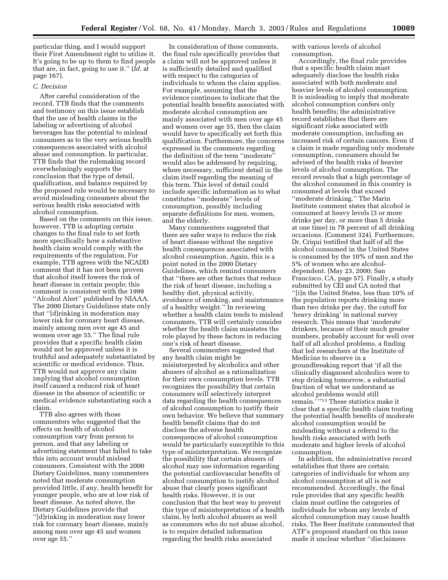particular thing, and I would support their First Amendment right to utilize it. It's going to be up to them to find people that are, in fact, going to use it.'' (*Id.* at page 167).

## *C. Decision*

After careful consideration of the record, TTB finds that the comments and testimony on this issue establish that the use of health claims in the labeling or advertising of alcohol beverages has the potential to mislead consumers as to the very serious health consequences associated with alcohol abuse and consumption. In particular, TTB finds that the rulemaking record overwhelmingly supports the conclusion that the type of detail, qualification, and balance required by the proposed rule would be necessary to avoid misleading consumers about the serious health risks associated with alcohol consumption.

Based on the comments on this issue, however, TTB is adopting certain changes to the final rule to set forth more specifically how a substantive health claim would comply with the requirements of the regulation. For example, TTB agrees with the NCADD comment that it has not been proven that alcohol itself lowers the risk of heart disease in certain people; this comment is consistent with the 1999 ''Alcohol Alert'' published by NIAAA. The 2000 Dietary Guidelines state only that ''[d]rinking in moderation may lower risk for coronary heart disease, mainly among men over age 45 and women over age 55.'' The final rule provides that a specific health claim would not be approved unless it is truthful and adequately substantiated by scientific or medical evidence. Thus, TTB would not approve any claim implying that alcohol consumption itself caused a reduced risk of heart disease in the absence of scientific or medical evidence substantiating such a claim.

TTB also agrees with those commenters who suggested that the effects on health of alcohol consumption vary from person to person, and that any labeling or advertising statement that failed to take this into account would mislead consumers. Consistent with the 2000 Dietary Guidelines, many commenters noted that moderate consumption provided little, if any, health benefit for younger people, who are at low risk of heart disease. As noted above, the Dietary Guidelines provide that ''[d]rinking in moderation may lower risk for coronary heart disease, mainly among men over age 45 and women over age 55.''

In consideration of these comments, the final rule specifically provides that a claim will not be approved unless it is sufficiently detailed and qualified with respect to the categories of individuals to whom the claim applies. For example, assuming that the evidence continues to indicate that the potential health benefits associated with moderate alcohol consumption are mainly associated with men over age 45 and women over age 55, then the claim would have to specifically set forth this qualification. Furthermore, the concerns expressed in the comments regarding the definition of the term ''moderate'' would also be addressed by requiring, where necessary, sufficient detail in the claim itself regarding the meaning of this term. This level of detail could include specific information as to what constitutes ''moderate'' levels of consumption, possibly including separate definitions for men, women, and the elderly.

Many commenters suggested that there are safer ways to reduce the risk of heart disease without the negative health consequences associated with alcohol consumption. Again, this is a point noted in the 2000 Dietary Guidelines, which remind consumers that ''there are other factors that reduce the risk of heart disease, including a healthy diet, physical activity, avoidance of smoking, and maintenance of a healthy weight.'' In reviewing whether a health claim tends to mislead consumers, TTB will certainly consider whether the health claim misstates the role played by these factors in reducing one's risk of heart disease.

Several commenters suggested that any health claim might be misinterpreted by alcoholics and other abusers of alcohol as a rationalization for their own consumption levels. TTB recognizes the possibility that certain consumers will selectively interpret data regarding the health consequences of alcohol consumption to justify their own behavior. We believe that summary health benefit claims that do not disclose the adverse health consequences of alcohol consumption would be particularly susceptible to this type of misinterpretation. We recognize the possibility that certain abusers of alcohol may use information regarding the potential cardiovascular benefits of alcohol consumption to justify alcohol abuse that clearly poses significant health risks. However, it is our conclusion that the best way to prevent this type of misinterpretation of a health claim, by both alcohol abusers as well as consumers who do not abuse alcohol, is to require detailed information regarding the health risks associated

with various levels of alcohol consumption.

Accordingly, the final rule provides that a specific health claim must adequately disclose the health risks associated with both moderate and heavier levels of alcohol consumption. It is misleading to imply that moderate alcohol consumption confers only health benefits; the administrative record establishes that there are significant risks associated with moderate consumption, including an increased risk of certain cancers. Even if a claim is made regarding only moderate consumption, consumers should be advised of the health risks of heavier levels of alcohol consumption. The record reveals that a high percentage of the alcohol consumed in this country is consumed at levels that exceed ''moderate drinking.'' The Marin Institute comment states that alcohol is consumed at heavy levels (3 or more drinks per day, or more than 5 drinks at one time) in 78 percent of all drinking occasions. (Comment 324). Furthermore, Dr. Criqui testified that half of all the alcohol consumed in the United States is consumed by the 10% of men and the 5% of women who are alcoholdependent. (May 23, 2000; San Francisco, CA, page 57). Finally, a study submitted by CEI and CA noted that ''[i]n the United States, less than 10% of the population reports drinking more than two drinks per day, the cutoff for 'heavy drinking' in national survey research. This means that 'moderate' drinkers, because of their much greater numbers, probably account for well over half of all alcohol problems, a finding that led researchers at the Institute of Medicine to observe in a groundbreaking report that 'if all the clinically diagnosed alcoholics were to stop drinking tomorrow, a substantial fraction of what we understand as alcohol problems would still remain."<sup>13</sup> These statistics make it clear that a specific health claim touting the potential health benefits of moderate alcohol consumption would be misleading without a referral to the health risks associated with both moderate and higher levels of alcohol consumption.

In addition, the administrative record establishes that there are certain categories of individuals for whom any alcohol consumption at all is not recommended. Accordingly, the final rule provides that any specific health claim must outline the categories of individuals for whom any levels of alcohol consumption may cause health risks. The Beer Institute commented that ATF's proposed standard on this issue made it unclear whether ''disclaimers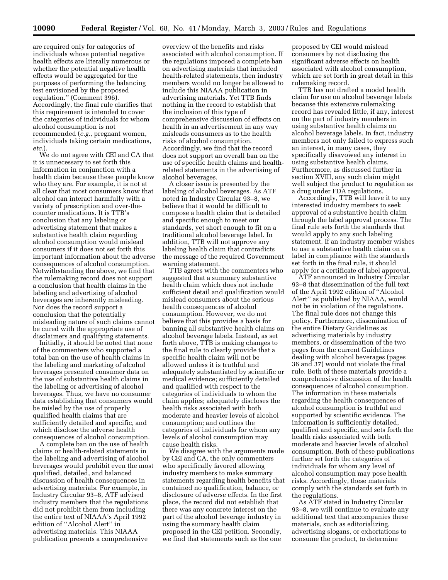are required only for categories of individuals whose potential negative health effects are literally numerous or whether the potential negative health effects would be aggregated for the purposes of performing the balancing test envisioned by the proposed regulation.'' (Comment 396). Accordingly, the final rule clarifies that this requirement is intended to cover the categories of individuals for whom alcohol consumption is not recommended (*e.g.*, pregnant women, individuals taking certain medications, *etc.*).

We do not agree with CEI and CA that it is unnecessary to set forth this information in conjunction with a health claim because these people know who they are. For example, it is not at all clear that most consumers know that alcohol can interact harmfully with a variety of prescription and over-thecounter medications. It is TTB's conclusion that any labeling or advertising statement that makes a substantive health claim regarding alcohol consumption would mislead consumers if it does not set forth this important information about the adverse consequences of alcohol consumption. Notwithstanding the above, we find that the rulemaking record does not support a conclusion that health claims in the labeling and advertising of alcohol beverages are inherently misleading. Nor does the record support a conclusion that the potentially misleading nature of such claims cannot be cured with the appropriate use of disclaimers and qualifying statements.

Initially, it should be noted that none of the commenters who supported a total ban on the use of health claims in the labeling and marketing of alcohol beverages presented consumer data on the use of substantive health claims in the labeling or advertising of alcohol beverages. Thus, we have no consumer data establishing that consumers would be misled by the use of properly qualified health claims that are sufficiently detailed and specific, and which disclose the adverse health consequences of alcohol consumption.

A complete ban on the use of health claims or health-related statements in the labeling and advertising of alcohol beverages would prohibit even the most qualified, detailed, and balanced discussion of health consequences in advertising materials. For example, in Industry Circular 93–8, ATF advised industry members that the regulations did not prohibit them from including the entire text of NIAAA's April 1992 edition of ''Alcohol Alert'' in advertising materials. This NIAAA publication presents a comprehensive

overview of the benefits and risks associated with alcohol consumption. If the regulations imposed a complete ban on advertising materials that included health-related statements, then industry members would no longer be allowed to include this NIAAA publication in advertising materials. Yet TTB finds nothing in the record to establish that the inclusion of this type of comprehensive discussion of effects on health in an advertisement in any way misleads consumers as to the health risks of alcohol consumption. Accordingly, we find that the record does not support an overall ban on the use of specific health claims and healthrelated statements in the advertising of alcohol beverages.

A closer issue is presented by the labeling of alcohol beverages. As ATF noted in Industry Circular 93–8, we believe that it would be difficult to compose a health claim that is detailed and specific enough to meet our standards, yet short enough to fit on a traditional alcohol beverage label. In addition, TTB will not approve any labeling health claim that contradicts the message of the required Government warning statement.

TTB agrees with the commenters who suggested that a summary substantive health claim which does not include sufficient detail and qualification would mislead consumers about the serious health consequences of alcohol consumption. However, we do not believe that this provides a basis for banning all substantive health claims on alcohol beverage labels. Instead, as set forth above, TTB is making changes to the final rule to clearly provide that a specific health claim will not be allowed unless it is truthful and adequately substantiated by scientific or medical evidence; sufficiently detailed and qualified with respect to the categories of individuals to whom the claim applies; adequately discloses the health risks associated with both moderate and heavier levels of alcohol consumption; and outlines the categories of individuals for whom any levels of alcohol consumption may cause health risks.

We disagree with the arguments made by CEI and CA, the only commenters who specifically favored allowing industry members to make summary statements regarding health benefits that contained no qualification, balance, or disclosure of adverse effects. In the first place, the record did not establish that there was any concrete interest on the part of the alcohol beverage industry in using the summary health claim proposed in the CEI petition. Secondly, we find that statements such as the one

proposed by CEI would mislead consumers by not disclosing the significant adverse effects on health associated with alcohol consumption, which are set forth in great detail in this rulemaking record.

TTB has not drafted a model health claim for use on alcohol beverage labels because this extensive rulemaking record has revealed little, if any, interest on the part of industry members in using substantive health claims on alcohol beverage labels. In fact, industry members not only failed to express such an interest, in many cases, they specifically disavowed any interest in using substantive health claims. Furthermore, as discussed further in section XVIII, any such claim might well subject the product to regulation as a drug under FDA regulations.

Accordingly, TTB will leave it to any interested industry members to seek approval of a substantive health claim through the label approval process. The final rule sets forth the standards that would apply to any such labeling statement. If an industry member wishes to use a substantive health claim on a label in compliance with the standards set forth in the final rule, it should apply for a certificate of label approval.

ATF announced in Industry Circular 93–8 that dissemination of the full text of the April 1992 edition of ''Alcohol Alert'' as published by NIAAA, would not be in violation of the regulations. The final rule does not change this policy. Furthermore, dissemination of the entire Dietary Guidelines as advertising materials by industry members, or dissemination of the two pages from the current Guidelines dealing with alcohol beverages (pages 36 and 37) would not violate the final rule. Both of these materials provide a comprehensive discussion of the health consequences of alcohol consumption. The information in these materials regarding the health consequences of alcohol consumption is truthful and supported by scientific evidence. The information is sufficiently detailed, qualified and specific, and sets forth the health risks associated with both moderate and heavier levels of alcohol consumption. Both of these publications further set forth the categories of individuals for whom any level of alcohol consumption may pose health risks. Accordingly, these materials comply with the standards set forth in the regulations.

As ATF stated in Industry Circular 93–8, we will continue to evaluate any additional text that accompanies these materials, such as editorializing, advertising slogans, or exhortations to consume the product, to determine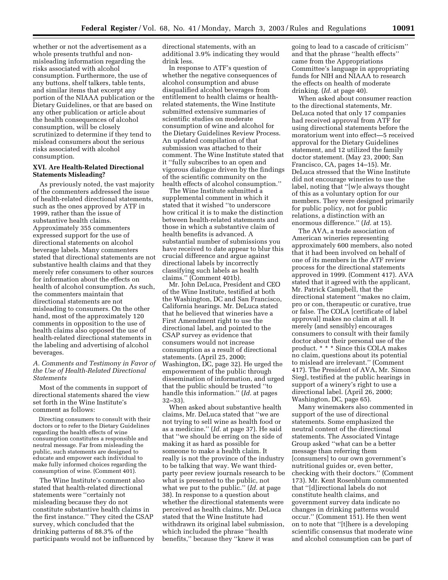whether or not the advertisement as a whole presents truthful and nonmisleading information regarding the risks associated with alcohol consumption. Furthermore, the use of any buttons, shelf talkers, table tents, and similar items that excerpt any portion of the NIAAA publication or the Dietary Guidelines, or that are based on any other publication or article about the health consequences of alcohol consumption, will be closely scrutinized to determine if they tend to mislead consumers about the serious risks associated with alcohol consumption.

## **XVI. Are Health-Related Directional Statements Misleading?**

As previously noted, the vast majority of the commenters addressed the issue of health-related directional statements, such as the ones approved by ATF in 1999, rather than the issue of substantive health claims. Approximately 355 commenters expressed support for the use of directional statements on alcohol beverage labels. Many commenters stated that directional statements are not substantive health claims and that they merely refer consumers to other sources for information about the effects on health of alcohol consumption. As such, the commenters maintain that directional statements are not misleading to consumers. On the other hand, most of the approximately 120 comments in opposition to the use of health claims also opposed the use of health-related directional statements in the labeling and advertising of alcohol beverages.

## *A. Comments and Testimony in Favor of the Use of Health-Related Directional Statements*

Most of the comments in support of directional statements shared the view set forth in the Wine Institute's comment as follows:

Directing consumers to consult with their doctors or to refer to the Dietary Guidelines regarding the health effects of wine consumption constitutes a responsible and neutral message. Far from misleading the public, such statements are designed to educate and empower each individual to make fully informed choices regarding the consumption of wine. (Comment 401).

The Wine Institute's comment also stated that health-related directional statements were ''certainly not misleading because they do not constitute substantive health claims in the first instance.'' They cited the CSAP survey, which concluded that the drinking patterns of 88.3% of the participants would not be influenced by directional statements, with an additional 3.9% indicating they would drink less.

In response to ATF's question of whether the negative consequences of alcohol consumption and abuse disqualified alcohol beverages from entitlement to health claims or healthrelated statements, the Wine Institute submitted extensive summaries of scientific studies on moderate consumption of wine and alcohol for the Dietary Guidelines Review Process. An updated compilation of that submission was attached to their comment. The Wine Institute stated that it ''fully subscribes to an open and vigorous dialogue driven by the findings of the scientific community on the health effects of alcohol consumption.''

The Wine Institute submitted a supplemental comment in which it stated that it wished ''to underscore how critical it is to make the distinction between health-related statements and those in which a substantive claim of health benefits is advanced. A substantial number of submissions you have received to date appear to blur this crucial difference and argue against directional labels by incorrectly classifying such labels as health claims.'' (Comment 401b).

Mr. John DeLuca, President and CEO of the Wine Institute, testified at both the Washington, DC and San Francisco, California hearings. Mr. DeLuca stated that he believed that wineries have a First Amendment right to use the directional label, and pointed to the CSAP survey as evidence that consumers would not increase consumption as a result of directional statements. (April 25, 2000; Washington, DC, page 32). He urged the empowerment of the public through dissemination of information, and urged that the public should be trusted ''to handle this information.'' (*Id.* at pages 32–33).

When asked about substantive health claims, Mr. DeLuca stated that ''we are not trying to sell wine as health food or as a medicine.'' (*Id.* at page 37). He said that ''we should be erring on the side of making it as hard as possible for someone to make a health claim. It really is not the province of the industry to be talking that way. We want thirdparty peer review journals research to be what is presented to the public, not what we put to the public.'' (*Id.* at page 38). In response to a question about whether the directional statements were perceived as health claims, Mr. DeLuca stated that the Wine Institute had withdrawn its original label submission, which included the phrase ''health benefits,'' because they ''knew it was

going to lead to a cascade of criticism'' and that the phrase ''health effects'' came from the Appropriations Committee's language in appropriating funds for NIH and NIAAA to research the effects on health of moderate drinking. (*Id.* at page 40).

When asked about consumer reaction to the directional statements, Mr. DeLuca noted that only 17 companies had received approval from ATF for using directional statements before the moratorium went into effect—5 received approval for the Dietary Guidelines statement, and 12 utilized the family doctor statement. (May 23, 2000; San Francisco, CA, pages 14–15). Mr. DeLuca stressed that the Wine Institute did not encourage wineries to use the label, noting that ''[w]e always thought of this as a voluntary option for our members. They were designed primarily for public policy, not for public relations, a distinction with an enormous difference.'' (*Id.* at 15).

The AVA, a trade association of American wineries representing approximately 600 members, also noted that it had been involved on behalf of one of its members in the ATF review process for the directional statements approved in 1999. (Comment 417). AVA stated that it agreed with the applicant, Mr. Patrick Campbell, that the directional statement ''makes no claim, pro or con, therapeutic or curative, true or false. The COLA [certificate of label approval] makes no claim at all. It merely (and sensibly) encourages consumers to consult with their family doctor about their personal use of the product. \* \* \* Since this COLA makes no claim, questions about its potential to mislead are irrelevant.'' (Comment 417). The President of AVA, Mr. Simon Siegl, testified at the public hearings in support of a winery's right to use a directional label. (April 26, 2000; Washington, DC, page 65).

Many winemakers also commented in support of the use of directional statements. Some emphasized the neutral content of the directional statements. The Associated Vintage Group asked ''what can be a better message than referring them [consumers] to our own government's nutritional guides or, even better, checking with their doctors.'' (Comment 173). Mr. Kent Rosenblum commented that ''[d]irectional labels do not constitute health claims, and government survey data indicate no changes in drinking patterns would occur.'' (Comment 151). He then went on to note that ''[t]here is a developing scientific consensus that moderate wine and alcohol consumption can be part of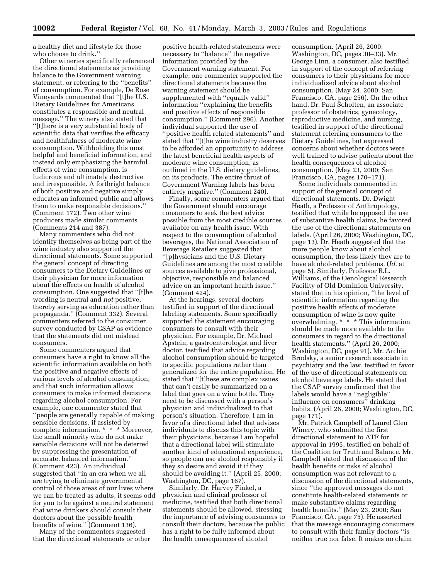a healthy diet and lifestyle for those who choose to drink.''

Other wineries specifically referenced the directional statements as providing balance to the Government warning statement, or referring to the ''benefits'' of consumption. For example, De Rose Vineyards commented that ''[t]he U.S. Dietary Guidelines for Americans constitutes a responsible and neutral message.'' The winery also stated that ''[t]here is a very substantial body of scientific data that verifies the efficacy and healthfulness of moderate wine consumption. Withholding this most helpful and beneficial information, and instead only emphasizing the harmful effects of wine consumption, is ludicrous and ultimately destructive and irresponsible. A forthright balance of both positive and negative simply educates an informed public and allows them to make responsible decisions.'' (Comment 172). Two other wine producers made similar comments (Comments 214 and 387).

Many commenters who did not identify themselves as being part of the wine industry also supported the directional statements. Some supported the general concept of directing consumers to the Dietary Guidelines or their physician for more information about the effects on health of alcohol consumption. One suggested that ''[t]he wording is neutral and *not* positive, thereby serving as education rather than propaganda.'' (Comment 332). Several commenters referred to the consumer survey conducted by CSAP as evidence that the statements did not mislead consumers.

Some commenters argued that consumers have a right to know all the scientific information available on both the positive and negative effects of various levels of alcohol consumption, and that such information allows consumers to make informed decisions regarding alcohol consumption. For example, one commenter stated that ''people are generally capable of making sensible decisions, if assisted by complete information. \* \* \* Moreover, the small minority who do not make sensible decisions will not be deterred by suppressing the presentation of accurate, balanced information.'' (Comment 423). An individual suggested that ''in an era when we all are trying to eliminate governmental control of those areas of our lives where we can be treated as adults, it seems odd for you to be against a neutral statement that wine drinkers should consult their doctors about the possible health benefits of wine.'' (Comment 136).

Many of the commenters suggested that the directional statements or other

positive health-related statements were necessary to ''balance'' the negative information provided by the Government warning statement. For example, one commenter supported the directional statements because the warning statement should be supplemented with ''equally valid'' information ''explaining the benefits and positive effects of responsible consumption.'' (Comment 296). Another individual supported the use of ''positive health related statements'' and stated that ''[t]he wine industry deserves to be afforded an opportunity to address the latest beneficial health aspects of moderate wine consumption, as outlined in the U.S. dietary guidelines, on its products. The entire thrust of Government Warning labels has been entirely negative.'' (Comment 240).

Finally, some commenters argued that the Government should encourage consumers to seek the best advice possible from the most credible sources available on any health issue. With respect to the consumption of alcohol beverages, the National Association of Beverage Retailers suggested that ''[p]hysicians and the U.S. Dietary Guidelines are among the most credible sources available to give professional, objective, responsible and balanced advice on an important health issue.'' (Comment 424).

At the hearings, several doctors testified in support of the directional labeling statements. Some specifically supported the statement encouraging consumers to consult with their physician. For example, Dr. Michael Apstein, a gastroenterologist and liver doctor, testified that advice regarding alcohol consumption should be targeted to specific populations rather than generalized for the entire population. He stated that ''[t]hese are complex issues that can't easily be summarized on a label that goes on a wine bottle. They need to be discussed with a person's physician and individualized to that person's situation. Therefore, I am in favor of a directional label that advises individuals to discuss this topic with their physicians, because I am hopeful that a directional label will stimulate another kind of educational experience, so people can use alcohol responsibly if they so desire and avoid it if they should be avoiding it.'' (April 25, 2000; Washington, DC, page 167).

Similarly, Dr. Harvey Finkel, a physician and clinical professor of medicine, testified that both directional statements should be allowed, stressing the importance of advising consumers to consult their doctors, because the public has a right to be fully informed about the health consequences of alcohol

consumption. (April 26, 2000; Washington, DC, pages 30–33). Mr. George Linn, a consumer, also testified in support of the concept of referring consumers to their physicians for more individualized advice about alcohol consumption. (May 24, 2000; San Francisco, CA, page 256). On the other hand, Dr. Paul Scholten, an associate professor of obstetrics, gynecology, reproductive medicine, and nursing, testified in support of the directional statement referring consumers to the Dietary Guidelines, but expressed concerns about whether doctors were well trained to advise patients about the health consequences of alcohol consumption. (May 23, 2000; San Francisco, CA, pages 170–171).

Some individuals commented in support of the general concept of directional statements. Dr. Dwight Heath, a Professor of Anthropology, testified that while he opposed the use of substantive health claims, he favored the use of the directional statements on labels. (April 26, 2000; Washington, DC, page 13). Dr. Heath suggested that the more people know about alcohol consumption, the less likely they are to have alcohol-related problems. (*Id.* at page 5). Similarly, Professor R.L. Williams, of the Oenological Research Facility of Old Dominion University, stated that in his opinion, ''the level of scientific information regarding the positive health effects of moderate consumption of wine is now quite overwhelming. \* \* \* This information should be made more available to the consumers in regard to the directional health statements." (April 26, 2000; Washington, DC, page 91). Mr. Archie Brodsky, a senior research associate in psychiatry and the law, testified in favor of the use of directional statements on alcohol beverage labels. He stated that the CSAP survey confirmed that the labels would have a ''negligible'' influence on consumers'' drinking habits. (April 26, 2000; Washington, DC, page 171).

Mr. Patrick Campbell of Laurel Glen Winery, who submitted the first directional statement to ATF for approval in 1995, testified on behalf of the Coalition for Truth and Balance. Mr. Campbell stated that discussion of the health benefits or risks of alcohol consumption was not relevant to a discussion of the directional statements, since ''the approved messages do not constitute health-related statements or make substantive claims regarding health benefits.'' (May 23, 2000; San Francisco, CA, page 75). He asserted that the message encouraging consumers to consult with their family doctors ''is neither true nor false. It makes no claim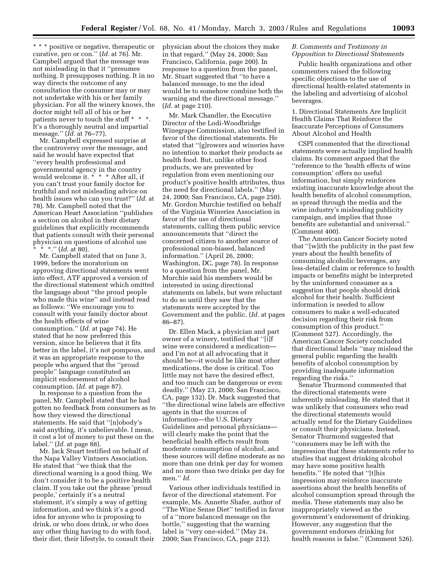\* \* \* positive or negative, therapeutic or curative, pro or con.'' (*Id.* at 76). Mr. Campbell argued that the message was not misleading in that it ''presumes nothing. It presupposes nothing. It in no way directs the outcome of any consultation the consumer may or may not undertake with his or her family physician. For all the winery knows, the doctor might tell all of his or her patients never to touch the stuff \* \* \*. It's a thoroughly neutral and impartial message.'' (*Id.* at 76–77).

Mr. Campbell expressed surprise at the controversy over the message, and said he would have expected that ''every health professional and governmental agency in the country would welcome it. \* \* \* After all, if you can't trust your family doctor for truthful and not misleading advice on health issues who can you trust?'' (*Id.* at 78). Mr. Campbell noted that the American Heart Association ''publishes a section on alcohol in their dietary guidelines that explicitly recommends that patients consult with their personal physician on questions of alcohol use \* \* \*.'' (*Id.* at 80).

Mr. Campbell stated that on June 3, 1999, before the moratorium on approving directional statements went into effect, ATF approved a version of the directional statement which omitted the language about ''the proud people who made this wine'' and instead read as follows: ''We encourage you to consult with your family doctor about the health effects of wine consumption.'' (*Id.* at page 74). He stated that he now preferred this version, since he believes that it fits better in the label, it's not pompous, and it was an appropriate response to the people who argued that the ''proud people'' language constituted an implicit endorsement of alcohol consumption. (*Id.* at page 87).

In response to a question from the panel, Mr. Campbell stated that he had gotten no feedback from consumers as to how they viewed the directional statements. He said that ''[n]obody's said anything, it's unbelievable. I mean, it cost a lot of money to put these on the label.'' (*Id.* at page 88).

Mr. Jack Stuart testified on behalf of the Napa Valley Vintners Association. He stated that ''we think that the directional warning is a good thing. We don't consider it to be a positive health claim. If you take out the phrase 'proud people,' certainly it's a neutral statement, it's simply a way of getting information, and we think it's a good idea for anyone who is proposing to drink, or who does drink, or who does any other thing having to do with food, their diet, their lifestyle, to consult their physician about the choices they make in that regard.'' (May 24, 2000; San Francisco, California, page 200). In response to a question from the panel, Mr. Stuart suggested that ''to have a balanced message, to me the ideal would be to somehow combine both the warning and the directional message.'' (*Id.* at page 210).

Mr. Mark Chandler, the Executive Director of the Lodi-Woodbridge Winegrape Commission, also testified in favor of the directional statements. He stated that ''[g]rowers and wineries have no intention to market their products as health food. But, unlike other food products, we are prevented by regulation from even mentioning our product's positive health attributes, thus the need for directional labels.'' (May 24, 2000; San Francisco, CA, page 250). Mr. Gordon Murchie testified on behalf of the Virginia Wineries Association in favor of the use of directional statements, calling them public service announcements that ''direct the concerned citizen to another source of professional non-biased, balanced information.'' (April 26, 2000; Washington, DC, page 78). In response to a question from the panel, Mr. Murchie said his members would be interested in using directional statements on labels, but were reluctant to do so until they saw that the statements were accepted by the Government and the public. (*Id.* at pages 86–87).

Dr. Ellen Mack, a physician and part owner of a winery, testified that ''[i]f wine were considered a medication and I'm not at all advocating that it should be—it would be like most other medications, the dose is critical. Too little may not have the desired effect, and too much can be dangerous or even deadly.'' (May 23, 2000; San Francisco, CA, page 132). Dr. Mack suggested that ''the directional wine labels are effective agents in that the sources of information—the U.S. Dietary Guidelines and personal physicians will clearly make the point that the beneficial health effects result from moderate consumption of alcohol, and these sources will define moderate as no more than one drink per day for women and no more than two drinks per day for men.'' *Id.*

Various other individuals testified in favor of the directional statement. For example, Ms. Annette Shafer, author of ''The Wine Sense Diet'' testified in favor of a ''more balanced message on the bottle,'' suggesting that the warning label is ''very one-sided.'' (May 24, 2000; San Francisco, CA, page 212).

## *B. Comments and Testimony in Opposition to Directional Statements*

Public health organizations and other commenters raised the following specific objections to the use of directional health-related statements in the labeling and advertising of alcohol beverages.

1. Directional Statements Are Implicit Health Claims That Reinforce the Inaccurate Perceptions of Consumers About Alcohol and Health

CSPI commented that the directional statements were actually implied health claims. Its comment argued that the ''reference to the 'health effects of wine consumption' offers no useful information, but simply reinforces existing inaccurate knowledge about the health benefits of alcohol consumption, as spread through the media and the wine industry's misleading publicity campaign, and implies that those benefits are substantial and universal.'' (Comment 400).

The American Cancer Society noted that ''[w]ith the publicity in the past few years about the health benefits of consuming alcoholic beverages, any less-detailed claim or reference to health impacts or benefits might be interpreted by the uninformed consumer as a suggestion that people should drink alcohol for their health. Sufficient information is needed to allow consumers to make a well-educated decision regarding their risk from consumption of this product.'' (Comment 527). Accordingly, the American Cancer Society concluded that directional labels ''may mislead the general public regarding the health benefits of alcohol consumption by providing inadequate information regarding the risks.''

Senator Thurmond commented that the directional statements were inherently misleading. He stated that it was unlikely that consumers who read the directional statements would actually send for the Dietary Guidelines or consult their physicians. Instead, Senator Thurmond suggested that ''consumers may be left with the impression that these statements refer to studies that suggest drinking alcohol may have some positive health benefits.'' He noted that ''[t]his impression may reinforce inaccurate assertions about the health benefits of alcohol consumption spread through the media. These statements may also be inappropriately viewed as the government's endorsement of drinking. However, any suggestion that the government endorses drinking for health reasons is false.'' (Comment 526).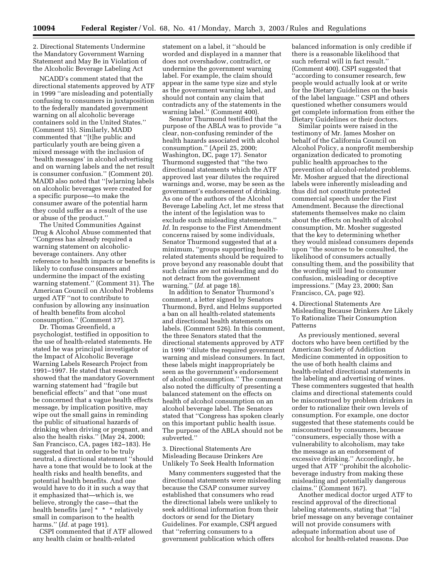2. Directional Statements Undermine the Mandatory Government Warning Statement and May Be in Violation of the Alcoholic Beverage Labeling Act

NCADD's comment stated that the directional statements approved by ATF in 1999 ''are misleading and potentially confusing to consumers in juxtaposition to the federally mandated government warning on all alcoholic beverage containers sold in the United States.'' (Comment 15). Similarly, MADD commented that ''[t]he public and particularly youth are being given a mixed message with the inclusion of 'health messages' in alcohol advertising and on warning labels and the net result is consumer confusion.'' (Comment 20). MADD also noted that ''[w]arning labels on alcoholic beverages were created for a specific purpose—to make the consumer aware of the potential harm they could suffer as a result of the use or abuse of the product.''

The United Communities Against Drug & Alcohol Abuse commented that ''Congress has already required a warning statement on alcoholicbeverage containers. Any other reference to health impacts or benefits is likely to confuse consumers and undermine the impact of the existing warning statement.'' (Comment 31). The American Council on Alcohol Problems urged ATF ''not to contribute to confusion by allowing any insinuation of health benefits from alcohol consumption.'' (Comment 37).

Dr. Thomas Greenfield, a psychologist, testified in opposition to the use of health-related statements. He stated he was principal investigator of the Impact of Alcoholic Beverage Warning Labels Research Project from 1991–1997. He stated that research showed that the mandatory Government warning statement had ''fragile but beneficial effects'' and that ''one must be concerned that a vague health effects message, by implication positive, may wipe out the small gains in reminding the public of situational hazards of drinking when driving or pregnant, and also the health risks.'' (May 24, 2000; San Francisco, CA, pages 182–183). He suggested that in order to be truly neutral, a directional statement ''should have a tone that would be to look at the health risks and health benefits, and potential health benefits. And one would have to do it in such a way that it emphasized that—which is, we believe, strongly the case—that the health benefits [are] \* \* \* relatively small in comparison to the health harms.'' (*Id.* at page 191).

CSPI commented that if ATF allowed any health claim or health-related

statement on a label, it ''should be worded and displayed in a manner that does not overshadow, contradict, or undermine the government warning label. For example, the claim should appear in the same type size and style as the government warning label, and should not contain any claim that contradicts any of the statements in the warning label.'' (Comment 400).

Senator Thurmond testified that the purpose of the ABLA was to provide ''a clear, non-confusing reminder of the health hazards associated with alcohol consumption.'' (April 25, 2000; Washington, DC, page 17). Senator Thurmond suggested that ''the two directional statements which the ATF approved last year dilutes the required warnings and, worse, may be seen as the government's endorsement of drinking. As one of the authors of the Alcohol Beverage Labeling Act, let me stress that the intent of the legislation was to exclude such misleading statements.'' *Id.* In response to the First Amendment concerns raised by some individuals, Senator Thurmond suggested that at a minimum, ''groups supporting healthrelated statements should be required to prove beyond any reasonable doubt that such claims are not misleading and do not detract from the government warning.'' (*Id.* at page 18).

In addition to Senator Thurmond's comment, a letter signed by Senators Thurmond, Byrd, and Helms supported a ban on all health-related statements and directional health statements on labels. (Comment 526). In this comment, the three Senators stated that the directional statements approved by ATF in 1999 ''dilute the required government warning and mislead consumers. In fact, these labels might inappropriately be seen as the government's endorsement of alcohol consumption.'' The comment also noted the difficulty of presenting a balanced statement on the effects on health of alcohol consumption on an alcohol beverage label. The Senators stated that ''Congress has spoken clearly on this important public health issue. The purpose of the ABLA should not be subverted.''

3. Directional Statements Are Misleading Because Drinkers Are Unlikely To Seek Health Information

Many commenters suggested that the directional statements were misleading because the CSAP consumer survey established that consumers who read the directional labels were unlikely to seek additional information from their doctors or send for the Dietary Guidelines. For example, CSPI argued that ''referring consumers to a government publication which offers

balanced information is only credible if there is a reasonable likelihood that such referral will in fact result.'' (Comment 400). CSPI suggested that ''according to consumer research, few people would actually look at or write for the Dietary Guidelines on the basis of the label language.'' CSPI and others questioned whether consumers would get complete information from either the Dietary Guidelines or their doctors.

Similar points were raised in the testimony of Mr. James Mosher on behalf of the California Council on Alcohol Policy, a nonprofit membership organization dedicated to promoting public health approaches to the prevention of alcohol-related problems. Mr. Mosher argued that the directional labels were inherently misleading and thus did not constitute protected commercial speech under the First Amendment. Because the directional statements themselves make no claim about the effects on health of alcohol consumption, Mr. Mosher suggested that the key to determining whether they would mislead consumers depends upon ''the sources to be consulted, the likelihood of consumers actually consulting them, and the possibility that the wording will lead to consumer confusion, misleading or deceptive impressions.'' (May 23, 2000; San Francisco, CA, page 92).

4. Directional Statements Are Misleading Because Drinkers Are Likely To Rationalize Their Consumption Patterns

As previously mentioned, several doctors who have been certified by the American Society of Addiction Medicine commented in opposition to the use of both health claims and health-related directional statements in the labeling and advertising of wines. These commenters suggested that health claims and directional statements could be misconstrued by problem drinkers in order to rationalize their own levels of consumption. For example, one doctor suggested that these statements could be misconstrued by consumers, because ''consumers, especially those with a vulnerability to alcoholism, may take the message as an endorsement of excessive drinking.'' Accordingly, he urged that ATF ''prohibit the alcoholicbeverage industry from making these misleading and potentially dangerous claims.'' (Comment 167).

Another medical doctor urged ATF to rescind approval of the directional labeling statements, stating that ''[a] brief message on any beverage container will not provide consumers with adequate information about use of alcohol for health-related reasons. Due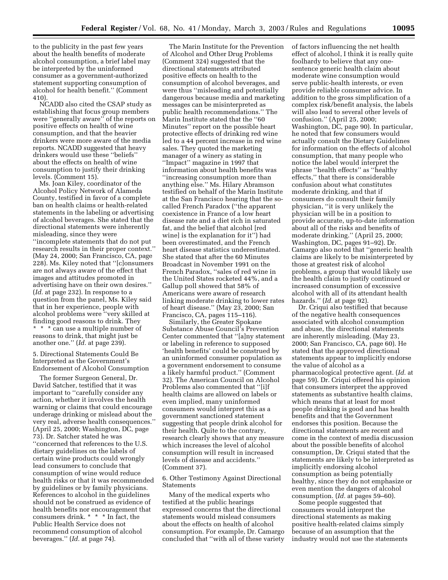to the publicity in the past few years about the health benefits of moderate alcohol consumption, a brief label may be interpreted by the uninformed consumer as a government-authorized statement supporting consumption of alcohol for health benefit.'' (Comment 410).

NCADD also cited the CSAP study as establishing that focus group members were ''generally aware'' of the reports on positive effects on health of wine consumption, and that the heavier drinkers were more aware of the media reports. NCADD suggested that heavy drinkers would use these ''beliefs'' about the effects on health of wine consumption to justify their drinking levels. (Comment 15).

Ms. Joan Kiley, coordinator of the Alcohol Policy Network of Alameda County, testified in favor of a complete ban on health claims or health-related statements in the labeling or advertising of alcohol beverages. She stated that the directional statements were inherently misleading, since they were ''incomplete statements that do not put research results in their proper context.'' (May 24, 2000; San Francisco, CA, page 228). Ms. Kiley noted that ''[c]onsumers are not always aware of the effect that images and attitudes promoted in advertising have on their own desires.'' (*Id.* at page 232). In response to a question from the panel, Ms. Kiley said that in her experience, people with alcohol problems were ''very skilled at finding good reasons to drink. They \* \* \* can use a multiple number of reasons to drink, that might just be another one.'' (*Id.* at page 239).

## 5. Directional Statements Could Be Interpreted as the Government's Endorsement of Alcohol Consumption

The former Surgeon General, Dr. David Satcher, testified that it was important to ''carefully consider any action, whether it involves the health warning or claims that could encourage underage drinking or mislead about the very real, adverse health consequences.'' (April 25, 2000; Washington, DC, page 73). Dr. Satcher stated he was ''concerned that references to the U.S. dietary guidelines on the labels of certain wine products could wrongly lead consumers to conclude that consumption of wine would reduce health risks or that it was recommended by guidelines or by family physicians. References to alcohol in the guidelines should not be construed as evidence of health benefits nor encouragement that consumers drink. \* \* \* In fact, the Public Health Service does not recommend consumption of alcohol beverages.'' (*Id.* at page 74).

The Marin Institute for the Prevention of Alcohol and Other Drug Problems (Comment 324) suggested that the directional statements attributed positive effects on health to the consumption of alcohol beverages, and were thus ''misleading and potentially dangerous because media and marketing messages can be misinterpreted as public health recommendations.'' The Marin Institute stated that the ''60 Minutes'' report on the possible heart protective effects of drinking red wine led to a 44 percent increase in red wine sales. They quoted the marketing manager of a winery as stating in ''Impact'' magazine in 1997 that information about health benefits was ''increasing consumption more than anything else.'' Ms. Hilary Abramson testified on behalf of the Marin Institute at the San Francisco hearing that the socalled French Paradox (''the apparent coexistence in France of a low heart disease rate and a diet rich in saturated fat, and the belief that alcohol [red wine] is the explanation for it'') had been overestimated, and the French heart disease statistics underestimated. She stated that after the 60 Minutes Broadcast in November 1991 on the French Paradox, ''sales of red wine in the United States rocketed 44%, and a Gallup poll showed that 58% of Americans were aware of research linking moderate drinking to lower rates of heart disease.'' (May 23, 2000; San Francisco, CA, pages 115–116).

Similarly, the Greater Spokane Substance Abuse Council's Prevention Center commented that ''[a]ny statement or labeling in reference to supposed 'health benefits' could be construed by an uninformed consumer population as a government endorsement to consume a likely harmful product.'' (Comment 32). The American Council on Alcohol Problems also commented that ''[i]f health claims are allowed on labels or even implied, many uninformed consumers would interpret this as a government sanctioned statement suggesting that people drink alcohol for their health. Quite to the contrary, research clearly shows that any measure which increases the level of alcohol consumption will result in increased levels of disease and accidents.'' (Comment 37).

6. Other Testimony Against Directional Statements

Many of the medical experts who testified at the public hearings expressed concerns that the directional statements would mislead consumers about the effects on health of alcohol consumption. For example, Dr. Camargo concluded that ''with all of these variety

of factors influencing the net health effect of alcohol, I think it is really quite foolhardy to believe that any onesentence generic health claim about moderate wine consumption would serve public-health interests, or even provide reliable consumer advice. In addition to the gross simplification of a complex risk/benefit analysis, the labels will also lead to several other levels of confusion.'' (April 25, 2000; Washington, DC, page 90). In particular, he noted that few consumers would actually consult the Dietary Guidelines for information on the effects of alcohol consumption, that many people who notice the label would interpret the phrase ''health effects'' as ''healthy effects,'' that there is considerable confusion about what constitutes moderate drinking, and that if consumers do consult their family physician, ''it is very unlikely the physician will be in a position to provide accurate, up-to-date information about all of the risks and benefits of moderate drinking.'' (April 25, 2000; Washington, DC, pages 91–92). Dr. Camargo also noted that ''generic health claims are likely to be misinterpreted by those at greatest risk of alcohol problems, a group that would likely use the health claim to justify continued or increased consumption of excessive alcohol with all of its attendant health hazards.'' (*Id.* at page 92).

Dr. Criqui also testified that because of the negative health consequences associated with alcohol consumption and abuse, the directional statements are inherently misleading. (May 23, 2000; San Francisco, CA, page 60). He stated that the approved directional statements appear to implicitly endorse the value of alcohol as a pharmacological protective agent. (*Id.* at page 59). Dr. Criqui offered his opinion that consumers interpret the approved statements as substantive health claims, which means that at least for most people drinking is good and has health benefits and that the Government endorses this position. Because the directional statements are recent and come in the context of media discussion about the possible benefits of alcohol consumption, Dr. Criqui stated that the statements are likely to be interpreted as implicitly endorsing alcohol consumption as being potentially healthy, since they do not emphasize or even mention the dangers of alcohol consumption. (*Id.* at pages 59–60).

Some people suggested that consumers would interpret the directional statements as making positive health-related claims simply because of an assumption that the industry would not use the statements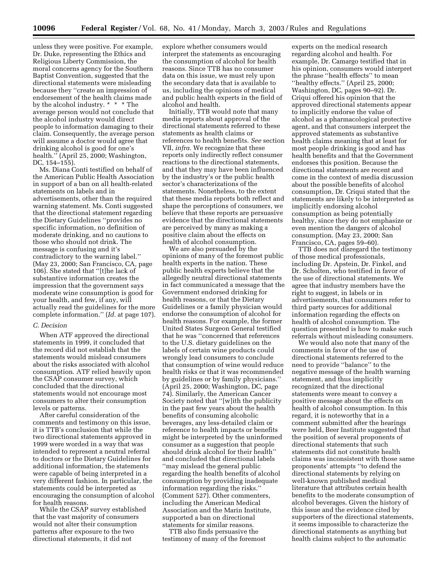unless they were positive. For example, Dr. Duke, representing the Ethics and Religious Liberty Commission, the moral concerns agency for the Southern Baptist Convention, suggested that the directional statements were misleading because they ''create an impression of endorsement of the health claims made by the alcohol industry. \* \* \* The average person would not conclude that the alcohol industry would direct people to information damaging to their claim. Consequently, the average person will assume a doctor would agree that drinking alcohol is good for one's health.'' (April 25, 2000; Washington, DC, 154–155).

Ms. Diana Conti testified on behalf of the American Public Health Association in support of a ban on all health-related statements on labels and in advertisements, other than the required warning statement. Ms. Conti suggested that the directional statement regarding the Dietary Guidelines ''provides no specific information, no definition of moderate drinking, and no cautions to those who should not drink. The message is confusing and it's contradictory to the warning label.'' (May 23, 2000; San Francisco, CA, page 106). She stated that ''[t]he lack of substantive information creates the impression that the government says moderate wine consumption is good for your health, and few, if any, will actually read the guidelines for the more complete information.'' (*Id.* at page 107).

#### *C. Decision*

When ATF approved the directional statements in 1999, it concluded that the record did not establish that the statements would mislead consumers about the risks associated with alcohol consumption. ATF relied heavily upon the CSAP consumer survey, which concluded that the directional statements would not encourage most consumers to alter their consumption levels or patterns.

After careful consideration of the comments and testimony on this issue, it is TTB's conclusion that while the two directional statements approved in 1999 were worded in a way that was intended to represent a neutral referral to doctors or the Dietary Guidelines for additional information, the statements were capable of being interpreted in a very different fashion. In particular, the statements could be interpreted as encouraging the consumption of alcohol for health reasons.

While the CSAP survey established that the vast majority of consumers would not alter their consumption patterns after exposure to the two directional statements, it did not

explore whether consumers would interpret the statements as encouraging the consumption of alcohol for health reasons. Since TTB has no consumer data on this issue, we must rely upon the secondary data that is available to us, including the opinions of medical and public health experts in the field of alcohol and health.

Initially, TTB would note that many media reports about approval of the directional statements referred to these statements as health claims or references to health benefits. *See* section VII, *infra.* We recognize that these reports only indirectly reflect consumer reactions to the directional statements, and that they may have been influenced by the industry's or the public health sector's characterizations of the statements. Nonetheless, to the extent that these media reports both reflect and shape the perceptions of consumers, we believe that these reports are persuasive evidence that the directional statements are perceived by many as making a positive claim about the effects on health of alcohol consumption.

We are also persuaded by the opinions of many of the foremost public health experts in the nation. These public health experts believe that the allegedly neutral directional statements in fact communicated a message that the Government endorsed drinking for health reasons, or that the Dietary Guidelines or a family physician would endorse the consumption of alcohol for health reasons. For example, the former United States Surgeon General testified that he was ''concerned that references to the U.S. dietary guidelines on the labels of certain wine products could wrongly lead consumers to conclude that consumption of wine would reduce health risks or that it was recommended by guidelines or by family physicians.'' (April 25, 2000; Washington, DC, page 74). Similarly, the American Cancer Society noted that ''[w]ith the publicity in the past few years about the health benefits of consuming alcoholic beverages, any less-detailed claim or reference to health impacts or benefits might be interpreted by the uninformed consumer as a suggestion that people should drink alcohol for their health'' and concluded that directional labels ''may mislead the general public regarding the health benefits of alcohol consumption by providing inadequate information regarding the risks.'' (Comment 527). Other commenters, including the American Medical Association and the Marin Institute, supported a ban on directional statements for similar reasons.

TTB also finds persuasive the testimony of many of the foremost

experts on the medical research regarding alcohol and health. For example, Dr. Camargo testified that in his opinion, consumers would interpret the phrase ''health effects'' to mean ''healthy effects.'' (April 25, 2000; Washington, DC, pages 90–92). Dr. Criqui offered his opinion that the approved directional statements appear to implicitly endorse the value of alcohol as a pharmacological protective agent, and that consumers interpret the approved statements as substantive health claims meaning that at least for most people drinking is good and has health benefits and that the Government endorses this position. Because the directional statements are recent and come in the context of media discussion about the possible benefits of alcohol consumption, Dr. Criqui stated that the statements are likely to be interpreted as implicitly endorsing alcohol consumption as being potentially healthy, since they do not emphasize or even mention the dangers of alcohol consumption. (May 23, 2000; San Francisco, CA, pages 59–60).

TTB does not disregard the testimony of those medical professionals, including Dr. Apstein, Dr. Finkel, and Dr. Scholten, who testified in favor of the use of directional statements. We agree that industry members have the right to suggest, in labels or in advertisements, that consumers refer to third party sources for additional information regarding the effects on health of alcohol consumption. The question presented is how to make such referrals without misleading consumers.

We would also note that many of the comments in favor of the use of directional statements referred to the need to provide ''balance'' to the negative message of the health warning statement, and thus implicitly recognized that the directional statements were meant to convey a positive message about the effects on health of alcohol consumption. In this regard, it is noteworthy that in a comment submitted after the hearings were held, Beer Institute suggested that the position of several proponents of directional statements that such statements did not constitute health claims was inconsistent with those same proponents' attempts ''to defend the directional statements by relying on well-known published medical literature that attributes certain health benefits to the moderate consumption of alcohol beverages. Given the history of this issue and the evidence cited by supporters of the directional statements, it seems impossible to characterize the directional statements as anything but health claims subject to the automatic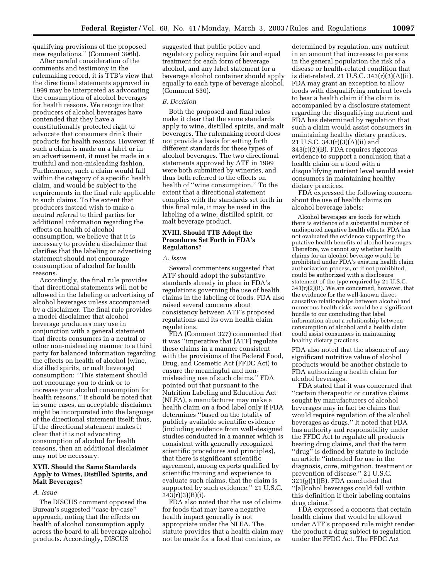qualifying provisions of the proposed new regulations.'' (Comment 396b).

After careful consideration of the comments and testimony in the rulemaking record, it is TTB's view that the directional statements approved in 1999 may be interpreted as advocating the consumption of alcohol beverages for health reasons. We recognize that producers of alcohol beverages have contended that they have a constitutionally protected right to advocate that consumers drink their products for health reasons. However, if such a claim is made on a label or in an advertisement, it must be made in a truthful and non-misleading fashion. Furthermore, such a claim would fall within the category of a specific health claim, and would be subject to the requirements in the final rule applicable to such claims. To the extent that producers instead wish to make a neutral referral to third parties for additional information regarding the effects on health of alcohol consumption, we believe that it is necessary to provide a disclaimer that clarifies that the labeling or advertising statement should not encourage consumption of alcohol for health reasons.

Accordingly, the final rule provides that directional statements will not be allowed in the labeling or advertising of alcohol beverages unless accompanied by a disclaimer. The final rule provides a model disclaimer that alcohol beverage producers may use in conjunction with a general statement that directs consumers in a neutral or other non-misleading manner to a third party for balanced information regarding the effects on health of alcohol (wine, distilled spirits, or malt beverage) consumption: ''This statement should not encourage you to drink or to increase your alcohol consumption for health reasons.'' It should be noted that in some cases, an acceptable disclaimer might be incorporated into the language of the directional statement itself; thus, if the directional statement makes it clear that it is not advocating consumption of alcohol for health reasons, then an additional disclaimer may not be necessary.

## **XVII. Should the Same Standards Apply to Wines, Distilled Spirits, and Malt Beverages?**

#### *A. Issue*

The DISCUS comment opposed the Bureau's suggested ''case-by-case'' approach, noting that the effects on health of alcohol consumption apply across the board to all beverage alcohol products. Accordingly, DISCUS

suggested that public policy and regulatory policy require fair and equal treatment for each form of beverage alcohol, and any label statement for a beverage alcohol container should apply equally to each type of beverage alcohol. (Comment 530).

#### *B. Decision*

Both the proposed and final rules make it clear that the same standards apply to wine, distilled spirits, and malt beverages. The rulemaking record does not provide a basis for setting forth different standards for these types of alcohol beverages. The two directional statements approved by ATF in 1999 were both submitted by wineries, and thus both referred to the effects on health of ''wine consumption.'' To the extent that a directional statement complies with the standards set forth in this final rule, it may be used in the labeling of a wine, distilled spirit, or malt beverage product.

## **XVIII. Should TTB Adopt the Procedures Set Forth in FDA's Regulations?**

## *A. Issue*

Several commenters suggested that ATF should adopt the substantive standards already in place in FDA's regulations governing the use of health claims in the labeling of foods. FDA also raised several concerns about consistency between ATF's proposed regulations and its own health claim regulations.

FDA (Comment 327) commented that it was ''imperative that [ATF] regulate these claims in a manner consistent with the provisions of the Federal Food, Drug, and Cosmetic Act (FFDC Act) to ensure the meaningful and nonmisleading use of such claims.'' FDA pointed out that pursuant to the Nutrition Labeling and Education Act (NLEA), a manufacturer may make a health claim on a food label only if FDA determines ''based on the totality of publicly available scientific evidence (including evidence from well-designed studies conducted in a manner which is consistent with generally recognized scientific procedures and principles), that there is significant scientific agreement, among experts qualified by scientific training and experience to evaluate such claims, that the claim is supported by such evidence.'' 21 U.S.C. 343(r)(3)(B)(i).

FDA also noted that the use of claims for foods that may have a negative health impact generally is not appropriate under the NLEA. The statute provides that a health claim may not be made for a food that contains, as

determined by regulation, any nutrient in an amount that increases to persons in the general population the risk of a disease or health-related condition that is diet-related. 21 U.S.C. 343(r)(3)(A)(ii). FDA may grant an exception to allow foods with disqualifying nutrient levels to bear a health claim if the claim is accompanied by a disclosure statement regarding the disqualifying nutrient and FDA has determined by regulation that such a claim would assist consumers in maintaining healthy dietary practices. 21 U.S.C. 343(r)(3)(A)(ii) and 343(r)(2)(B). FDA requires rigorous evidence to support a conclusion that a health claim on a food with a disqualifying nutrient level would assist consumers in maintaining healthy dietary practices.

FDA expressed the following concern about the use of health claims on alcohol beverage labels:

Alcohol beverages are foods for which there is evidence of a substantial number of undisputed negative health effects. FDA has not evaluated the evidence supporting the putative health benefits of alcohol beverages. Therefore, we cannot say whether health claims for an alcohol beverage would be prohibited under FDA's existing health claim authorization process, or if not prohibited, could be authorized with a disclosure statement of the type required by 21 U.S.C.  $343(r)(2)(B)$ . We are concerned, however, that the evidence for the well-known direct causative relationships between alcohol and numerous health risks would be a significant hurdle to our concluding that label information about a relationship between consumption of alcohol and a health claim could assist consumers in maintaining healthy dietary practices.

FDA also noted that the absence of any significant nutritive value of alcohol products would be another obstacle to FDA authorizing a health claim for alcohol beverages.

FDA stated that it was concerned that ''certain therapeutic or curative claims sought by manufacturers of alcohol beverages may in fact be claims that would require regulation of the alcohol beverages as drugs.'' It noted that FDA has authority and responsibility under the FFDC Act to regulate all products bearing drug claims, and that the term ''drug'' is defined by statute to include an article ''intended for use in the diagnosis, cure, mitigation, treatment or prevention of disease.'' 21 U.S.C. 321(g)(1)(B). FDA concluded that ''[a]lcohol beverages could fall within this definition if their labeling contains drug claims.''

FDA expressed a concern that certain health claims that would be allowed under ATF's proposed rule might render the product a drug subject to regulation under the FFDC Act. The FFDC Act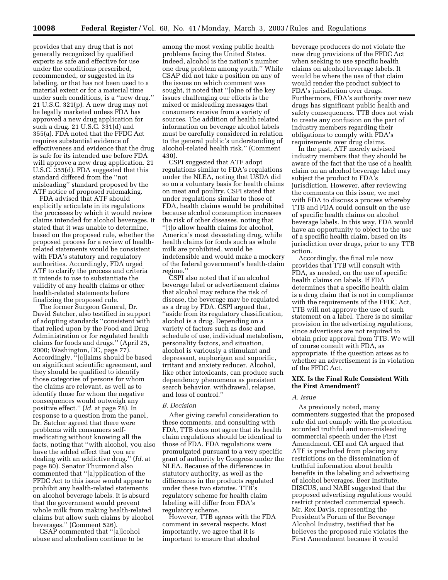provides that any drug that is not generally recognized by qualified experts as safe and effective for use under the conditions prescribed, recommended, or suggested in its labeling, or that has not been used to a material extent or for a material time under such conditions, is a ''new drug.'' 21 U.S.C. 321(p). A new drug may not be legally marketed unless FDA has approved a new drug application for such a drug. 21 U.S.C. 331(d) and 355(a). FDA noted that the FFDC Act requires substantial evidence of effectiveness and evidence that the drug is safe for its intended use before FDA will approve a new drug application. 21 U.S.C. 355(d). FDA suggested that this standard differed from the ''not misleading'' standard proposed by the ATF notice of proposed rulemaking.

FDA advised that ATF should explicitly articulate in its regulations the processes by which it would review claims intended for alcohol beverages. It stated that it was unable to determine, based on the proposed rule, whether the proposed process for a review of healthrelated statements would be consistent with FDA's statutory and regulatory authorities. Accordingly, FDA urged ATF to clarify the process and criteria it intends to use to substantiate the validity of any health claims or other health-related statements before finalizing the proposed rule.

The former Surgeon General, Dr. David Satcher, also testified in support of adopting standards ''consistent with that relied upon by the Food and Drug Administration or for regulated health claims for foods and drugs.'' (April 25, 2000; Washington, DC, page 77). Accordingly, ''[c]laims should be based on significant scientific agreement, and they should be qualified to identify those categories of persons for whom the claims are relevant, as well as to identify those for whom the negative consequences would outweigh any positive effect.'' (*Id.* at page 78). In response to a question from the panel, Dr. Satcher agreed that there were problems with consumers selfmedicating without knowing all the facts, noting that ''with alcohol, you also have the added effect that you are dealing with an addictive drug.'' (*Id.* at page 80). Senator Thurmond also commented that ''[a]pplication of the FFDC Act to this issue would appear to prohibit any health-related statements on alcohol beverage labels. It is absurd that the government would prevent whole milk from making health-related claims but allow such claims by alcohol beverages.'' (Comment 526).

CSAP commented that ''[a]lcohol abuse and alcoholism continue to be

among the most vexing public health problems facing the United States. Indeed, alcohol is the nation's number one drug problem among youth.'' While CSAP did not take a position on any of the issues on which comment was sought, it noted that ''[o]ne of the key issues challenging our efforts is the mixed or misleading messages that consumers receive from a variety of sources. The addition of health related information on beverage alcohol labels must be carefully considered in relation to the general public's understanding of alcohol-related health risk.'' (Comment 430).

CSPI suggested that ATF adopt regulations similar to FDA's regulations under the NLEA, noting that USDA did so on a voluntary basis for health claims on meat and poultry. CSPI stated that under regulations similar to those of FDA, health claims would be prohibited because alcohol consumption increases the risk of other diseases, noting that ''[t]o allow health claims for alcohol, America's most devastating drug, while health claims for foods such as whole milk are prohibited, would be indefensible and would make a mockery of the federal government's health-claim regime.''

CSPI also noted that if an alcohol beverage label or advertisement claims that alcohol may reduce the risk of disease, the beverage may be regulated as a drug by FDA. CSPI argued that, ''aside from its regulatory classification, alcohol is a drug. Depending on a variety of factors such as dose and schedule of use, individual metabolism, personality factors, and situation, alcohol is variously a stimulant and depressant, euphorigan and soporific, irritant and anxiety reducer. Alcohol, like other intoxicants, can produce such dependency phenomena as persistent search behavior, withdrawal, relapse, and loss of control.''

#### *B. Decision*

After giving careful consideration to these comments, and consulting with FDA, TTB does not agree that its health claim regulations should be identical to those of FDA. FDA regulations were promulgated pursuant to a very specific grant of authority by Congress under the NLEA. Because of the differences in statutory authority, as well as the differences in the products regulated under these two statutes, TTB's regulatory scheme for health claim labeling will differ from FDA's regulatory scheme.

However, TTB agrees with the FDA comment in several respects. Most importantly, we agree that it is important to ensure that alcohol

beverage producers do not violate the new drug provisions of the FFDC Act when seeking to use specific health claims on alcohol beverage labels. It would be where the use of that claim would render the product subject to FDA's jurisdiction over drugs. Furthermore, FDA's authority over new drugs has significant public health and safety consequences. TTB does not wish to create any confusion on the part of industry members regarding their obligations to comply with FDA's requirements over drug claims.

In the past, ATF merely advised industry members that they should be aware of the fact that the use of a health claim on an alcohol beverage label may subject the product to FDA's jurisdiction. However, after reviewing the comments on this issue, we met with FDA to discuss a process whereby TTB and FDA could consult on the use of specific health claims on alcohol beverage labels. In this way, FDA would have an opportunity to object to the use of a specific health claim, based on its jurisdiction over drugs, prior to any TTB action.

Accordingly, the final rule now provides that TTB will consult with FDA, as needed, on the use of specific health claims on labels. If FDA determines that a specific health claim is a drug claim that is not in compliance with the requirements of the FFDC Act, TTB will not approve the use of such statement on a label. There is no similar provision in the advertising regulations, since advertisers are not required to obtain prior approval from TTB. We will of course consult with FDA, as appropriate, if the question arises as to whether an advertisement is in violation of the FFDC Act.

## **XIX. Is the Final Rule Consistent With the First Amendment?**

## *A. Issue*

As previously noted, many commenters suggested that the proposed rule did not comply with the protection accorded truthful and non-misleading commercial speech under the First Amendment. CEI and CA argued that ATF is precluded from placing any restrictions on the dissemination of truthful information about health benefits in the labeling and advertising of alcohol beverages. Beer Institute, DISCUS, and NABI suggested that the proposed advertising regulations would restrict protected commercial speech. Mr. Rex Davis, representing the President's Forum of the Beverage Alcohol Industry, testified that he believes the proposed rule violates the First Amendment because it would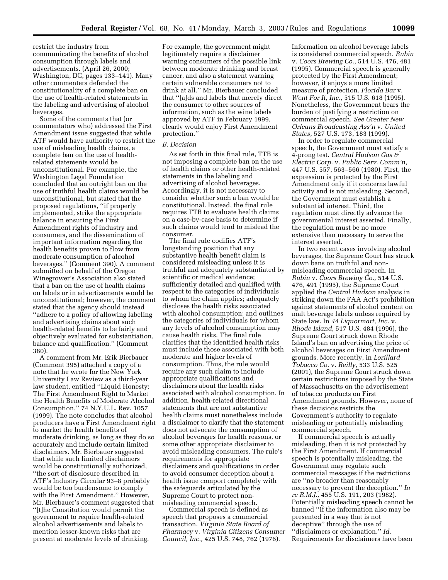restrict the industry from communicating the benefits of alcohol consumption through labels and advertisements. (April 26, 2000; Washington, DC, pages 133–141). Many other commenters defended the constitutionality of a complete ban on the use of health-related statements in the labeling and advertising of alcohol beverages.

Some of the comments that (or commentators who) addressed the First Amendment issue suggested that while ATF would have authority to restrict the use of misleading health claims, a complete ban on the use of healthrelated statements would be unconstitutional. For example, the Washington Legal Foundation concluded that an outright ban on the use of truthful health claims would be unconstitutional, but stated that the proposed regulations, ''if properly implemented, strike the appropriate balance in ensuring the First Amendment rights of industry and consumers, and the dissemination of important information regarding the health benefits proven to flow from moderate consumption of alcohol beverages.'' (Comment 390). A comment submitted on behalf of the Oregon Winegrower's Association also stated that a ban on the use of health claims on labels or in advertisements would be unconstitutional; however, the comment stated that the agency should instead ''adhere to a policy of allowing labeling and advertising claims about such health-related benefits to be fairly and objectively evaluated for substantiation, balance and qualification.'' (Comment 380).

A comment from Mr. Erik Bierbauer (Comment 395) attached a copy of a note that he wrote for the New York University Law Review as a third-year law student, entitled ''Liquid Honesty: The First Amendment Right to Market the Health Benefits of Moderate Alcohol Consumption,'' 74 N.Y.U.L. Rev. 1057 (1999). The note concludes that alcohol producers have a First Amendment right to market the health benefits of moderate drinking, as long as they do so accurately and include certain limited disclaimers. Mr. Bierbauer suggested that while such limited disclaimers would be constitutionally authorized, ''the sort of disclosure described in ATF's Industry Circular 93–8 probably would be too burdensome to comply with the First Amendment.'' However, Mr. Bierbauer's comment suggested that ''[t]he Constitution would permit the government to require health-related alcohol advertisements and labels to mention lesser-known risks that are present at moderate levels of drinking.

For example, the government might legitimately require a disclaimer warning consumers of the possible link between moderate drinking and breast cancer, and also a statement warning certain vulnerable consumers not to drink at all.'' Mr. Bierbauer concluded that ''[a]ds and labels that merely direct the consumer to other sources of information, such as the wine labels approved by ATF in February 1999, clearly would enjoy First Amendment protection.''

#### *B. Decision*

As set forth in this final rule, TTB is not imposing a complete ban on the use of health claims or other health-related statements in the labeling and advertising of alcohol beverages. Accordingly, it is not necessary to consider whether such a ban would be constitutional. Instead, the final rule requires TTB to evaluate health claims on a case-by-case basis to determine if such claims would tend to mislead the consumer.

The final rule codifies ATF's longstanding position that any substantive health benefit claim is considered misleading unless it is truthful and adequately substantiated by scientific or medical evidence; sufficiently detailed and qualified with respect to the categories of individuals to whom the claim applies; adequately discloses the health risks associated with alcohol consumption; and outlines the categories of individuals for whom any levels of alcohol consumption may cause health risks. The final rule clarifies that the identified health risks must include those associated with both moderate and higher levels of consumption. Thus, the rule would require any such claim to include appropriate qualifications and disclaimers about the health risks associated with alcohol consumption. In addition, health-related directional statements that are not substantive health claims must nonetheless include a disclaimer to clarify that the statement does not advocate the consumption of alcohol beverages for health reasons, or some other appropriate disclaimer to avoid misleading consumers. The rule's requirements for appropriate disclaimers and qualifications in order to avoid consumer deception about a health issue comport completely with the safeguards articulated by the Supreme Court to protect nonmisleading commercial speech.

Commercial speech is defined as speech that proposes a commercial transaction. *Virginia State Board of Pharmacy* v. *Virginia Citizens Consumer Council, Inc.,* 425 U.S. 748, 762 (1976).

Information on alcohol beverage labels is considered commercial speech. *Rubin* v. *Coors Brewing Co.,* 514 U.S. 476, 481 (1995). Commercial speech is generally protected by the First Amendment; however, it enjoys a more limited measure of protection. *Florida Bar* v. *Went For It, Inc.,* 515 U.S. 618 (1995). Nonetheless, the Government bears the burden of justifying a restriction on commercial speech. *See Greater New Orleans Broadcasting Ass'n* v. *United States,* 527 U.S. 173, 183 (1999).

In order to regulate commercial speech, the Government must satisfy a 4-prong test. *Central Hudson Gas & Electric Corp.* v. *Public Serv. Comm'n,* 447 U.S. 557, 563–566 (1980). First, the expression is protected by the First Amendment only if it concerns lawful activity and is not misleading. Second, the Government must establish a substantial interest. Third, the regulation must directly advance the governmental interest asserted. Finally, the regulation must be no more extensive than necessary to serve the interest asserted.

In two recent cases involving alcohol beverages, the Supreme Court has struck down bans on truthful and nonmisleading commercial speech. In *Rubin* v. *Coors Brewing Co.,* 514 U.S. 476, 491 (1995), the Supreme Court applied the *Central Hudson* analysis in striking down the FAA Act's prohibition against statements of alcohol content on malt beverage labels unless required by State law. In *44 Liquormart, Inc.* v. *Rhode Island,* 517 U.S. 484 (1996), the Supreme Court struck down Rhode Island's ban on advertising the price of alcohol beverages on First Amendment grounds. More recently, in *Lorillard Tobacco Co.* v. *Reilly,* 533 U.S. 525 (2001), the Supreme Court struck down certain restrictions imposed by the State of Massachusetts on the advertisement of tobacco products on First Amendment grounds. However, none of these decisions restricts the Government's authority to regulate misleading or potentially misleading commercial speech.

If commercial speech is actually misleading, then it is not protected by the First Amendment. If commercial speech is potentially misleading, the Government may regulate such commercial messages if the restrictions are ''no broader than reasonably necessary to prevent the deception.'' *In re R.M.J.,* 455 U.S. 191, 203 (1982). Potentially misleading speech cannot be banned ''if the information also may be presented in a way that is not deceptive'' through the use of ''disclaimers or explanation.'' *Id.* Requirements for disclaimers have been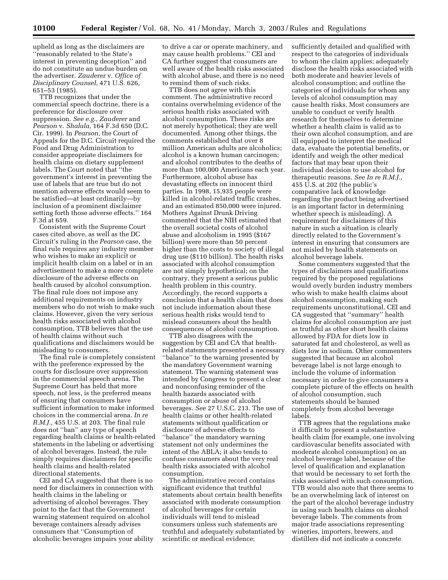upheld as long as the disclaimers are ''reasonably related to the State's interest in preventing deception'' and do not constitute an undue burden on the advertiser. *Zauderer* v. *Office of Disciplinary Counsel,* 471 U.S. 626, 651–53 (1985).

TTB recognizes that under the commercial speech doctrine, there is a preference for disclosure over suppression. *See e.g., Zauderer* and *Pearson* v. *Shalala,* 164 F.3d 650 (D.C. Cir. 1999). In *Pearson,* the Court of Appeals for the D.C. Circuit required the Food and Drug Administration to consider appropriate disclaimers for health claims on dietary supplement labels. The Court noted that ''the government's interest in preventing the use of labels that are true but do not mention adverse effects would seem to be satisfied—at least ordinarily—by inclusion of a prominent disclaimer setting forth those adverse effects.'' 164 F.3d at 659.

Consistent with the Supreme Court cases cited above, as well as the DC Circuit's ruling in the *Pearson* case, the final rule requires any industry member who wishes to make an explicit or implicit health claim on a label or in an advertisement to make a more complete disclosure of the adverse effects on health caused by alcohol consumption. The final rule does not impose any additional requirements on industry members who do not wish to make such claims. However, given the very serious health risks associated with alcohol consumption, TTB believes that the use of health claims without such qualifications and disclaimers would be misleading to consumers.

The final rule is completely consistent with the preference expressed by the courts for disclosure over suppression in the commercial speech arena. The Supreme Court has held that more speech, not less, is the preferred means of ensuring that consumers have sufficient information to make informed choices in the commercial arena. *In re R.M.J.,* 455 U.S. at 203. The final rule does not ''ban'' any type of speech regarding health claims or health-related statements in the labeling or advertising of alcohol beverages. Instead, the rule simply requires disclaimers for specific health claims and health-related directional statements.

CEI and CA suggested that there is no need for disclaimers in connection with health claims in the labeling or advertising of alcohol beverages. They point to the fact that the Government warning statement required on alcohol beverage containers already advises consumers that ''Consumption of alcoholic beverages impairs your ability to drive a car or operate machinery, and may cause health problems.'' CEI and CA further suggest that consumers are well aware of the health risks associated with alcohol abuse, and there is no need to remind them of such risks.

TTB does not agree with this comment. The administrative record contains overwhelming evidence of the serious health risks associated with alcohol consumption. These risks are not merely hypothetical; they are well documented. Among other things, the comments established that over 8 million American adults are alcoholics; alcohol is a known human carcinogen; and alcohol contributes to the deaths of more than 100,000 Americans each year. Furthermore, alcohol abuse has devastating effects on innocent third parties. In 1998, 15,935 people were killed in alcohol-related traffic crashes, and an estimated 850,000 were injured. Mothers Against Drunk Driving commented that the NIH estimated that the overall societal costs of alcohol abuse and alcoholism in 1995 (\$167 billion) were more than 50 percent higher than the costs to society of illegal drug use (\$110 billion). The health risks associated with alcohol consumption are not simply hypothetical; on the contrary, they present a serious public health problem in this country. Accordingly, the record supports a conclusion that a health claim that does not include information about these serious health risks would tend to mislead consumers about the health consequences of alcohol consumption.

TTB also disagrees with the suggestion by CEI and CA that healthrelated statements presented a necessary ''balance'' to the warning presented by the mandatory Government warning statement. The warning statement was intended by Congress to present a clear and nonconfusing reminder of the health hazards associated with consumption or abuse of alcohol beverages. *See* 27 U.S.C. 213. The use of health claims or other health-related statements without qualification or disclosure of adverse effects to ''balance'' the mandatory warning statement not only undermines the intent of the ABLA; it also tends to confuse consumers about the very real health risks associated with alcohol consumption.

The administrative record contains significant evidence that truthful statements about certain health benefits associated with moderate consumption of alcohol beverages for certain individuals will tend to mislead consumers unless such statements are truthful and adequately substantiated by scientific or medical evidence;

sufficiently detailed and qualified with respect to the categories of individuals to whom the claim applies; adequately disclose the health risks associated with both moderate and heavier levels of alcohol consumption; and outline the categories of individuals for whom any levels of alcohol consumption may cause health risks. Most consumers are unable to conduct or verify health research for themselves to determine whether a health claim is valid as to their own alcohol consumption, and are ill equipped to interpret the medical data, evaluate the potential benefits, or identify and weigh the other medical factors that may bear upon their individual decision to use alcohol for therapeutic reasons. *See In re R.M.J.,* 455 U.S. at 202 (the public's comparative lack of knowledge regarding the product being advertised is an important factor in determining whether speech is misleading). A requirement for disclaimers of this nature in such a situation is clearly directly related to the Government's interest in ensuring that consumers are not misled by health statements on alcohol beverage labels.

Some commenters suggested that the types of disclaimers and qualifications required by the proposed regulations would overly burden industry members who wish to make health claims about alcohol consumption, making such requirements unconstitutional. CEI and CA suggested that ''summary'' health claims for alcohol consumption are just as truthful as other short health claims allowed by FDA for diets low in saturated fat and cholesterol, as well as diets low in sodium. Other commenters suggested that because an alcohol beverage label is not large enough to include the volume of information necessary in order to give consumers a complete picture of the effects on health of alcohol consumption, such statements should be banned completely from alcohol beverage labels.

TTB agrees that the regulations make it difficult to present a substantive health claim (for example, one involving cardiovascular benefits associated with moderate alcohol consumption) on an alcohol beverage label, because of the level of qualification and explanation that would be necessary to set forth the risks associated with such consumption. TTB would also note that there seems to be an overwhelming lack of interest on the part of the alcohol beverage industry in using such health claims on alcohol beverage labels. The comments from major trade associations representing wineries, importers, brewers, and distillers did not indicate a concrete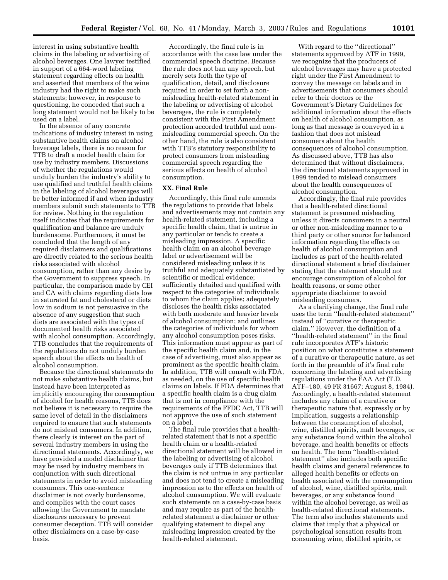interest in using substantive health claims in the labeling or advertising of alcohol beverages. One lawyer testified in support of a 664-word labeling statement regarding effects on health and asserted that members of the wine industry had the right to make such statements; however, in response to questioning, he conceded that such a long statement would not be likely to be used on a label.

In the absence of any concrete indications of industry interest in using substantive health claims on alcohol beverage labels, there is no reason for TTB to draft a model health claim for use by industry members. Discussions of whether the regulations would unduly burden the industry's ability to use qualified and truthful health claims in the labeling of alcohol beverages will be better informed if and when industry members submit such statements to TTB for review. Nothing in the regulation itself indicates that the requirements for qualification and balance are unduly burdensome. Furthermore, it must be concluded that the length of any required disclaimers and qualifications are directly related to the serious health risks associated with alcohol consumption, rather than any desire by the Government to suppress speech. In particular, the comparison made by CEI and CA with claims regarding diets low in saturated fat and cholesterol or diets low in sodium is not persuasive in the absence of any suggestion that such diets are associated with the types of documented health risks associated with alcohol consumption. Accordingly, TTB concludes that the requirements of the regulations do not unduly burden speech about the effects on health of alcohol consumption.

Because the directional statements do not make substantive health claims, but instead have been interpreted as implicitly encouraging the consumption of alcohol for health reasons, TTB does not believe it is necessary to require the same level of detail in the disclaimers required to ensure that such statements do not mislead consumers. In addition, there clearly is interest on the part of several industry members in using the directional statements. Accordingly, we have provided a model disclaimer that may be used by industry members in conjunction with such directional statements in order to avoid misleading consumers. This one-sentence disclaimer is not overly burdensome, and complies with the court cases allowing the Government to mandate disclosures necessary to prevent consumer deception. TTB will consider other disclaimers on a case-by-case basis.

Accordingly, the final rule is in accordance with the case law under the commercial speech doctrine. Because the rule does not ban any speech, but merely sets forth the type of qualification, detail, and disclosure required in order to set forth a nonmisleading health-related statement in the labeling or advertising of alcohol beverages, the rule is completely consistent with the First Amendment protection accorded truthful and nonmisleading commercial speech. On the other hand, the rule is also consistent with TTB's statutory responsibility to protect consumers from misleading commercial speech regarding the serious effects on health of alcohol consumption.

#### **XX. Final Rule**

Accordingly, this final rule amends the regulations to provide that labels and advertisements may not contain any health-related statement, including a specific health claim, that is untrue in any particular or tends to create a misleading impression. A specific health claim on an alcohol beverage label or advertisement will be considered misleading unless it is truthful and adequately substantiated by scientific or medical evidence; sufficiently detailed and qualified with respect to the categories of individuals to whom the claim applies; adequately discloses the health risks associated with both moderate and heavier levels of alcohol consumption; and outlines the categories of individuals for whom any alcohol consumption poses risks. This information must appear as part of the specific health claim and, in the case of advertising, must also appear as prominent as the specific health claim. In addition, TTB will consult with FDA, as needed, on the use of specific health claims on labels. If FDA determines that a specific health claim is a drug claim that is not in compliance with the requirements of the FFDC Act, TTB will not approve the use of such statement on a label.

The final rule provides that a healthrelated statement that is not a specific health claim or a health-related directional statement will be allowed in the labeling or advertising of alcohol beverages only if TTB determines that the claim is not untrue in any particular and does not tend to create a misleading impression as to the effects on health of alcohol consumption. We will evaluate such statements on a case-by-case basis and may require as part of the healthrelated statement a disclaimer or other qualifying statement to dispel any misleading impression created by the health-related statement.

With regard to the ''directional'' statements approved by ATF in 1999, we recognize that the producers of alcohol beverages may have a protected right under the First Amendment to convey the message on labels and in advertisements that consumers should refer to their doctors or the Government's Dietary Guidelines for additional information about the effects on health of alcohol consumption, as long as that message is conveyed in a fashion that does not mislead consumers about the health consequences of alcohol consumption. As discussed above, TTB has also determined that without disclaimers, the directional statements approved in 1999 tended to mislead consumers about the health consequences of alcohol consumption.

Accordingly, the final rule provides that a health-related directional statement is presumed misleading unless it directs consumers in a neutral or other non-misleading manner to a third party or other source for balanced information regarding the effects on health of alcohol consumption and includes as part of the health-related directional statement a brief disclaimer stating that the statement should not encourage consumption of alcohol for health reasons, or some other appropriate disclaimer to avoid misleading consumers.

As a clarifying change, the final rule uses the term ''health-related statement'' instead of ''curative or therapeutic claim.'' However, the definition of a ''health-related statement'' in the final rule incorporates ATF's historic position on what constitutes a statement of a curative or therapeutic nature, as set forth in the preamble of it's final rule concerning the labeling and advertising regulations under the FAA Act (T.D. ATF–180, 49 FR 31667; August 8, 1984). Accordingly, a health-related statement includes any claim of a curative or therapeutic nature that, expressly or by implication, suggests a relationship between the consumption of alcohol, wine, distilled spirits, malt beverages, or any substance found within the alcohol beverage, and health benefits or effects on health. The term ''health-related statement'' also includes both specific health claims and general references to alleged health benefits or effects on health associated with the consumption of alcohol, wine, distilled spirits, malt beverages, or any substance found within the alcohol beverage, as well as health-related directional statements. The term also includes statements and claims that imply that a physical or psychological sensation results from consuming wine, distilled spirits, or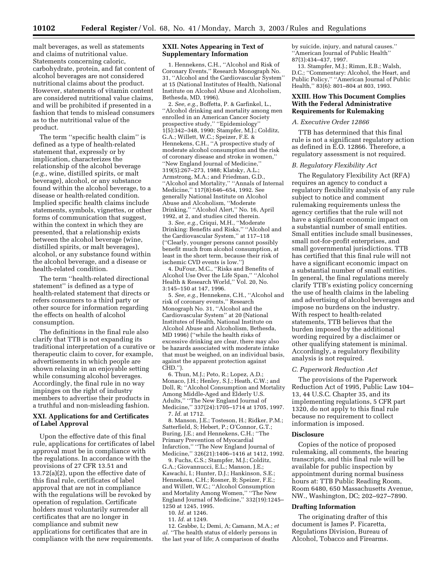**10102 Federal Register** / Vol. 68, No. 41 / Monday, March 3, 2003 / Rules and Regulations

malt beverages, as well as statements and claims of nutritional value. Statements concerning caloric, carbohydrate, protein, and fat content of alcohol beverages are not considered nutritional claims about the product. However, statements of vitamin content are considered nutritional value claims, and will be prohibited if presented in a fashion that tends to mislead consumers as to the nutritional value of the product.

The term ''specific health claim'' is defined as a type of health-related statement that, expressly or by implication, characterizes the relationship of the alcohol beverage (*e.g.*, wine, distilled spirits, or malt beverage), alcohol, or any substance found within the alcohol beverage, to a disease or health-related condition. Implied specific health claims include statements, symbols, vignettes, or other forms of communication that suggest, within the context in which they are presented, that a relationship exists between the alcohol beverage (wine, distilled spirits, or malt beverages), alcohol, or any substance found within the alcohol beverage, and a disease or health-related condition.

The term ''health-related directional statement'' is defined as a type of health-related statement that directs or refers consumers to a third party or other source for information regarding the effects on health of alcohol consumption.

The definitions in the final rule also clarify that TTB is not expanding its traditional interpretation of a curative or therapeutic claim to cover, for example, advertisements in which people are shown relaxing in an enjoyable setting while consuming alcohol beverages. Accordingly, the final rule in no way impinges on the right of industry members to advertise their products in a truthful and non-misleading fashion.

## **XXI. Applications for and Certificates of Label Approval**

Upon the effective date of this final rule, applications for certificates of label approval must be in compliance with the regulations. In accordance with the provisions of 27 CFR 13.51 and 13.72(a)(2), upon the effective date of this final rule, certificates of label approval that are not in compliance with the regulations will be revoked by operation of regulation. Certificate holders must voluntarily surrender all certificates that are no longer in compliance and submit new applications for certificates that are in compliance with the new requirements.

## **XXII. Notes Appearing in Text of Supplementary Information**

1. Hennekens, C.H., ''Alcohol and Risk of Coronary Events,'' Research Monograph No. 31, ''Alcohol and the Cardiovascular System'' at 15 (National Institutes of Health, National Institute on Alcohol Abuse and Alcoholism, Bethesda, MD, 1996).

2. *See, e.g.,* Boffetta, P. & Garfinkel, L., ''Alcohol drinking and mortality among men enrolled in an American Cancer Society prospective study,'' ''Epidemiology'' 1(5):342–348, 1990; Stampfer, M.J.; Colditz, G.A.; Willett, W.C.; Speizer, F.E. & Hennekens, C.H., ''A prospective study of moderate alcohol consumption and the risk of coronary disease and stroke in women,'' ''New England Journal of Medicine,'' 319(5):267–273, 1988; Klatsky, A.L.; Armstrong, M.A.; and Friedman, G.D., ''Alcohol and Mortality,'' ''Annals of Internal Medicine,'' 117(8):646–654, 1992. See generally National Institute on Alcohol Abuse and Alcoholism, ''Moderate Drinking,'' ''Alcohol Alert,'' No. 16, April 1992, at 2, and studies cited therein.

3. *See, e.g.,* Criqui, M.H., ''Moderate Drinking: Benefits and Risks,'' ''Alcohol and the Cardiovascular System,'' at 117–118 (''Clearly, younger persons cannot possibly benefit much from alcohol consumption, at least in the short term, because their risk of ischemic CVD events is low.'')

4. DuFour, M.C., ''Risks and Benefits of Alcohol Use Over the Life Span,'' ''Alcohol Health & Research World," Vol. 20, No. 3:145–150 at 147, 1996.

5. *See, e.g.,* Hennekens, C.H., ''Alcohol and risk of coronary events,'' Research Monograph No. 31, ''Alcohol and the Cardiovascular System'' at 20 (National Institutes of Health, National Institute on Alcohol Abuse and Alcoholism, Bethesda, MD 1996) (''while the health risks of excessive drinking are clear, there may also be hazards associated with moderate intake that must be weighed, on an individual basis, against the apparent protection against CHD.'').

6. Thun, M.J.; Peto, R.; Lopez, A.D.; Monaco, J.H.; Henley, S.J.; Heath, C.W.; and Doll, R; ''Alcohol Consumption and Mortality Among Middle-Aged and Elderly U.S. Adults,'' ''The New England Journal of Medicine,'' 337(24):1705–1714 at 1705, 1997. 7. *Id.* at 1712.

8. Manson, J.E.; Tosteson, H.; Ridker, P.M.; Satterfield, S; Hebert, P.; O'Connor, G.T.; Buring, J.E.; and Hennekens, C.H.; ''The Primary Prevention of Myocardial Infarction,'' ''The New England Journal of Medicine,'' 326(21):1406–1416 at 1412, 1992.

9. Fuchs, C.S.; Stampfer, M.J.; Colditz, G.A.; Giovannucci, E.L.; Manson, J.E.; Kawachi, I.; Hunter, D.J.; Hankinson, S.E.; Hennekens, C.H.; Rosner, B; Speizer, F.E.; and Willett, W.C.; "Alcohol Consumption and Mortality Among Women,'' ''The New England Journal of Medicine,'' 332(19):1245– 1250 at 1245, 1995.

10. *Id.* at 1246.

11. *Id.* at 1249.

12. Grabbe, L; Demi, A; Camann, M.A.; *et al.* ''The health status of elderly persons in the last year of life; A comparison of deaths by suicide, injury, and natural causes.'' ''American Journal of Public Health'' 87(3):434–437, 1997.

13. Stampfer, M.J.; Rimm, E.B.; Walsh, D.C.; ''Commentary: Alcohol, the Heart, and Public Policy,'' ''American Journal of Public Health,'' 83(6): 801–804 at 803, 1993.

## **XXIII. How This Document Complies With the Federal Administrative Requirements for Rulemaking**

## *A. Executive Order 12866*

TTB has determined that this final rule is not a significant regulatory action as defined in E.O. 12866. Therefore, a regulatory assessment is not required.

## *B. Regulatory Flexibility Act*

The Regulatory Flexibility Act (RFA) requires an agency to conduct a regulatory flexibility analysis of any rule subject to notice and comment rulemaking requirements unless the agency certifies that the rule will not have a significant economic impact on a substantial number of small entities. Small entities include small businesses, small not-for-profit enterprises, and small governmental jurisdictions. TTB has certified that this final rule will not have a significant economic impact on a substantial number of small entities. In general, the final regulations merely clarify TTB's existing policy concerning the use of health claims in the labeling and advertising of alcohol beverages and impose no burdens on the industry. With respect to health-related statements, TTB believes that the burden imposed by the additional wording required by a disclaimer or other qualifying statement is minimal. Accordingly, a regulatory flexibility analysis is not required.

#### *C. Paperwork Reduction Act*

The provisions of the Paperwork Reduction Act of 1995, Public Law 104– 13, 44 U.S.C. Chapter 35, and its implementing regulations, 5 CFR part 1320, do not apply to this final rule because no requirement to collect information is imposed.

#### **Disclosure**

Copies of the notice of proposed rulemaking, all comments, the hearing transcripts, and this final rule will be available for public inspection by appointment during normal business hours at: TTB Public Reading Room, Room 6480, 650 Massachusetts Avenue, NW., Washington, DC; 202–927–7890.

#### **Drafting Information**

The originating drafter of this document is James P. Ficaretta, Regulations Division, Bureau of Alcohol, Tobacco and Firearms.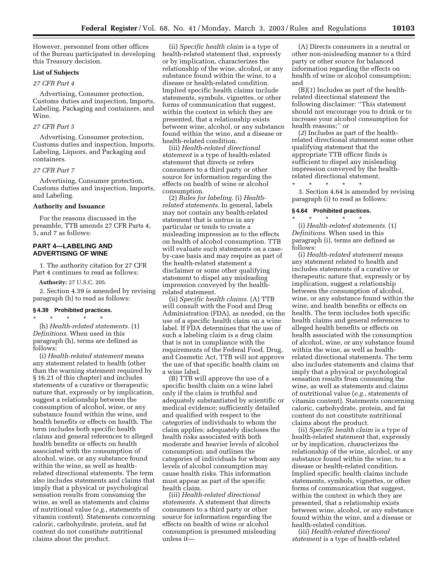However, personnel from other offices of the Bureau participated in developing this Treasury decision.

## **List of Subjects**

## *27 CFR Part 4*

Advertising, Consumer protection, Customs duties and inspection, Imports, Labeling, Packaging and containers, and Wine.

## *27 CFR Part 5*

Advertising, Consumer protection, Customs duties and inspection, Imports, Labeling, Liquors, and Packaging and containers.

#### *27 CFR Part 7*

Advertising, Consumer protection, Customs duties and inspection, Imports, and Labeling.

## **Authority and Issuance**

For the reasons discussed in the preamble, TTB amends 27 CFR Parts 4, 5, and 7 as follows:

## **PART 4—LABELING AND ADVERTISING OF WINE**

1. The authority citation for 27 CFR Part 4 continues to read as follows:

**Authority:** 27 U.S.C. 205.

2. Section 4.39 is amended by revising paragraph (h) to read as follows:

#### **§ 4.39 Prohibited practices.**

\* \* \* \* \* (h) *Health-related statements.* (1) *Definitions.* When used in this paragraph (h), terms are defined as follows:

(i) *Health-related statement* means any statement related to health (other than the warning statement required by § 16.21 of this chapter) and includes statements of a curative or therapeutic nature that, expressly or by implication, suggest a relationship between the consumption of alcohol, wine, or any substance found within the wine, and health benefits or effects on health. The term includes both specific health claims and general references to alleged health benefits or effects on health associated with the consumption of alcohol, wine, or any substance found within the wine, as well as healthrelated directional statements. The term also includes statements and claims that imply that a physical or psychological sensation results from consuming the wine, as well as statements and claims of nutritional value (*e.g.*, statements of vitamin content). Statements concerning caloric, carbohydrate, protein, and fat content do not constitute nutritional claims about the product.

(ii) *Specific health claim* is a type of health-related statement that, expressly or by implication, characterizes the relationship of the wine, alcohol, or any substance found within the wine, to a disease or health-related condition. Implied specific health claims include statements, symbols, vignettes, or other forms of communication that suggest, within the context in which they are presented, that a relationship exists between wine, alcohol, or any substance found within the wine, and a disease or health-related condition.

(iii) *Health-related directional statement* is a type of health-related statement that directs or refers consumers to a third party or other source for information regarding the effects on health of wine or alcohol consumption.

(2) *Rules for labeling.* (i) *Healthrelated statements.* In general, labels may not contain any health-related statement that is untrue in any particular or tends to create a misleading impression as to the effects on health of alcohol consumption. TTB will evaluate such statements on a caseby-case basis and may require as part of the health-related statement a disclaimer or some other qualifying statement to dispel any misleading impression conveyed by the healthrelated statement.

(ii) *Specific health claims.* (A) TTB will consult with the Food and Drug Administration (FDA), as needed, on the use of a specific health claim on a wine label. If FDA determines that the use of such a labeling claim is a drug claim that is not in compliance with the requirements of the Federal Food, Drug, and Cosmetic Act, TTB will not approve the use of that specific health claim on a wine label.

(B) TTB will approve the use of a specific health claim on a wine label only if the claim is truthful and adequately substantiated by scientific or medical evidence; sufficiently detailed and qualified with respect to the categories of individuals to whom the claim applies; adequately discloses the health risks associated with both moderate and heavier levels of alcohol consumption; and outlines the categories of individuals for whom any levels of alcohol consumption may cause health risks. This information must appear as part of the specific health claim.

(iii) *Health-related directional statements.* A statement that directs consumers to a third party or other source for information regarding the effects on health of wine or alcohol consumption is presumed misleading unless it—

(A) Directs consumers in a neutral or other non-misleading manner to a third party or other source for balanced information regarding the effects on health of wine or alcohol consumption; and

(B)(*1*) Includes as part of the healthrelated directional statement the following disclaimer: ''This statement should not encourage you to drink or to increase your alcohol consumption for health reasons;'' or

(*2*) Includes as part of the healthrelated directional statement some other qualifying statement that the appropriate TTB officer finds is sufficient to dispel any misleading impression conveyed by the healthrelated directional statement.

\* \* \* \* \* 3. Section 4.64 is amended by revising paragraph (i) to read as follows:

## **§ 4.64 Prohibited practices.** \* \* \* \* \*

(i) *Health-related statements.* (1) *Definitions.* When used in this paragraph (i), terms are defined as follows:

(i) *Health-related statement* means any statement related to health and includes statements of a curative or therapeutic nature that, expressly or by implication, suggest a relationship between the consumption of alcohol, wine, or any substance found within the wine, and health benefits or effects on health. The term includes both specific health claims and general references to alleged health benefits or effects on health associated with the consumption of alcohol, wine, or any substance found within the wine, as well as healthrelated directional statements. The term also includes statements and claims that imply that a physical or psychological sensation results from consuming the wine, as well as statements and claims of nutritional value (*e.g.*, statements of vitamin content). Statements concerning caloric, carbohydrate, protein, and fat content do not constitute nutritional claims about the product.

(ii) *Specific health claim* is a type of health-related statement that, expressly or by implication, characterizes the relationship of the wine, alcohol, or any substance found within the wine, to a disease or health-related condition. Implied specific health claims include statements, symbols, vignettes, or other forms of communication that suggest, within the context in which they are presented, that a relationship exists between wine, alcohol, or any substance found within the wine, and a disease or health-related condition.

(iii) *Health-related directional statement* is a type of health-related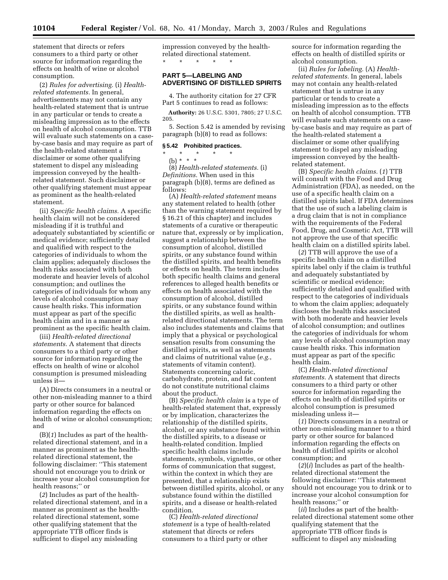statement that directs or refers consumers to a third party or other source for information regarding the effects on health of wine or alcohol

consumption. (2) *Rules for advertising.* (i) *Healthrelated statements.* In general, advertisements may not contain any health-related statement that is untrue in any particular or tends to create a misleading impression as to the effects on health of alcohol consumption. TTB will evaluate such statements on a caseby-case basis and may require as part of the health-related statement a disclaimer or some other qualifying statement to dispel any misleading impression conveyed by the healthrelated statement. Such disclaimer or other qualifying statement must appear as prominent as the health-related statement.

(ii) *Specific health claims.* A specific health claim will not be considered misleading if it is truthful and adequately substantiated by scientific or medical evidence; sufficiently detailed and qualified with respect to the categories of individuals to whom the claim applies; adequately discloses the health risks associated with both moderate and heavier levels of alcohol consumption; and outlines the categories of individuals for whom any levels of alcohol consumption may cause health risks. This information must appear as part of the specific health claim and in a manner as prominent as the specific health claim.

(iii) *Health-related directional statements.* A statement that directs consumers to a third party or other source for information regarding the effects on health of wine or alcohol consumption is presumed misleading unless it—

(A) Directs consumers in a neutral or other non-misleading manner to a third party or other source for balanced information regarding the effects on health of wine or alcohol consumption; and

(B)(*1*) Includes as part of the healthrelated directional statement, and in a manner as prominent as the healthrelated directional statement, the following disclaimer: ''This statement should not encourage you to drink or increase your alcohol consumption for health reasons;'' or

(*2*) Includes as part of the healthrelated directional statement, and in a manner as prominent as the healthrelated directional statement, some other qualifying statement that the appropriate TTB officer finds is sufficient to dispel any misleading

impression conveyed by the healthrelated directional statement. \* \* \* \* \*

## **PART 5—LABELING AND ADVERTISING OF DISTILLED SPIRITS**

4. The authority citation for 27 CFR Part 5 continues to read as follows:

**Authority:** 26 U.S.C. 5301, 7805; 27 U.S.C. 205.

5. Section 5.42 is amended by revising paragraph (b)(8) to read as follows:

## **§ 5.42 Prohibited practices.**

\* \* \* \* \*

(b) \* \* \*

(8) *Health-related statements.* (i) *Definitions.* When used in this paragraph (b)(8), terms are defined as follows:

(A) *Health-related statement* means any statement related to health (other than the warning statement required by § 16.21 of this chapter) and includes statements of a curative or therapeutic nature that, expressly or by implication, suggest a relationship between the consumption of alcohol, distilled spirits, or any substance found within the distilled spirits, and health benefits or effects on health. The term includes both specific health claims and general references to alleged health benefits or effects on health associated with the consumption of alcohol, distilled spirits, or any substance found within the distilled spirits, as well as healthrelated directional statements. The term also includes statements and claims that imply that a physical or psychological sensation results from consuming the distilled spirits, as well as statements and claims of nutritional value (*e.g.*, statements of vitamin content). Statements concerning caloric, carbohydrate, protein, and fat content do not constitute nutritional claims about the product.

(B) *Specific health claim* is a type of health-related statement that, expressly or by implication, characterizes the relationship of the distilled spirits, alcohol, or any substance found within the distilled spirits, to a disease or health-related condition. Implied specific health claims include statements, symbols, vignettes, or other forms of communication that suggest, within the context in which they are presented, that a relationship exists between distilled spirits, alcohol, or any substance found within the distilled spirits, and a disease or health-related condition.

(C) *Health-related directional statement* is a type of health-related statement that directs or refers consumers to a third party or other

source for information regarding the effects on health of distilled spirits or alcohol consumption.

(ii) *Rules for labeling.* (A) *Healthrelated statements.* In general, labels may not contain any health-related statement that is untrue in any particular or tends to create a misleading impression as to the effects on health of alcohol consumption. TTB will evaluate such statements on a caseby-case basis and may require as part of the health-related statement a disclaimer or some other qualifying statement to dispel any misleading impression conveyed by the healthrelated statement.

(B) *Specific health claims.* (*1*) TTB will consult with the Food and Drug Administration (FDA), as needed, on the use of a specific health claim on a distilled spirits label. If FDA determines that the use of such a labeling claim is a drug claim that is not in compliance with the requirements of the Federal Food, Drug, and Cosmetic Act, TTB will not approve the use of that specific health claim on a distilled spirits label.

(*2*) TTB will approve the use of a specific health claim on a distilled spirits label only if the claim is truthful and adequately substantiated by scientific or medical evidence; sufficiently detailed and qualified with respect to the categories of individuals to whom the claim applies; adequately discloses the health risks associated with both moderate and heavier levels of alcohol consumption; and outlines the categories of individuals for whom any levels of alcohol consumption may cause health risks. This information must appear as part of the specific health claim.

(C) *Health-related directional statements.* A statement that directs consumers to a third party or other source for information regarding the effects on health of distilled spirits or alcohol consumption is presumed misleading unless it—

(*1*) Directs consumers in a neutral or other non-misleading manner to a third party or other source for balanced information regarding the effects on health of distilled spirits or alcohol consumption; and

(*2*)(*i*) Includes as part of the healthrelated directional statement the following disclaimer: ''This statement should not encourage you to drink or to increase your alcohol consumption for health reasons;'' or

(*ii*) Includes as part of the healthrelated directional statement some other qualifying statement that the appropriate TTB officer finds is sufficient to dispel any misleading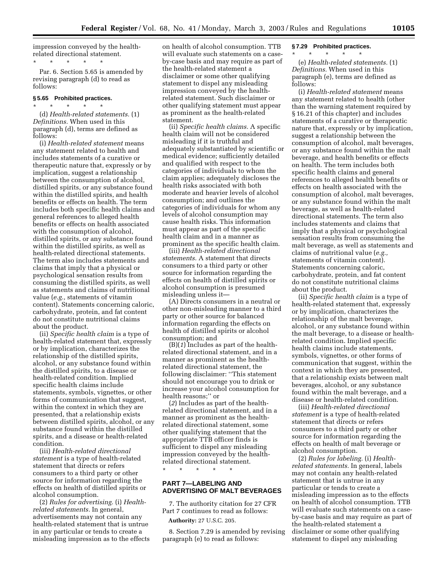impression conveyed by the healthrelated directional statement.

Par. 6. Section 5.65 is amended by revising paragraph (d) to read as follows:

#### **§ 5.65 Prohibited practices.**

\* \* \* \* \*

\* \* \* \* \* (d) *Health-related statements.* (1) *Definitions.* When used in this paragraph (d), terms are defined as follows:

(i) *Health-related statement* means any statement related to health and includes statements of a curative or therapeutic nature that, expressly or by implication, suggest a relationship between the consumption of alcohol, distilled spirits, or any substance found within the distilled spirits, and health benefits or effects on health. The term includes both specific health claims and general references to alleged health benefits or effects on health associated with the consumption of alcohol, distilled spirits, or any substance found within the distilled spirits, as well as health-related directional statements. The term also includes statements and claims that imply that a physical or psychological sensation results from consuming the distilled spirits, as well as statements and claims of nutritional value (*e.g.,* statements of vitamin content). Statements concerning caloric, carbohydrate, protein, and fat content do not constitute nutritional claims about the product.

(ii) *Specific health claim* is a type of health-related statement that, expressly or by implication, characterizes the relationship of the distilled spirits, alcohol, or any substance found within the distilled spirits, to a disease or health-related condition. Implied specific health claims include statements, symbols, vignettes, or other forms of communication that suggest, within the context in which they are presented, that a relationship exists between distilled spirits, alcohol, or any substance found within the distilled spirits, and a disease or health-related condition.

(iii) *Health-related directional statement* is a type of health-related statement that directs or refers consumers to a third party or other source for information regarding the effects on health of distilled spirits or alcohol consumption.

(2) *Rules for advertising.* (i) *Healthrelated statements.* In general, advertisements may not contain any health-related statement that is untrue in any particular or tends to create a misleading impression as to the effects on health of alcohol consumption. TTB will evaluate such statements on a caseby-case basis and may require as part of the health-related statement a disclaimer or some other qualifying statement to dispel any misleading impression conveyed by the healthrelated statement. Such disclaimer or other qualifying statement must appear as prominent as the health-related statement.

(ii) *Specific health claims.* A specific health claim will not be considered misleading if it is truthful and adequately substantiated by scientific or medical evidence; sufficiently detailed and qualified with respect to the categories of individuals to whom the claim applies; adequately discloses the health risks associated with both moderate and heavier levels of alcohol consumption; and outlines the categories of individuals for whom any levels of alcohol consumption may cause health risks. This information must appear as part of the specific health claim and in a manner as prominent as the specific health claim.

(iii) *Health-related directional statements.* A statement that directs consumers to a third party or other source for information regarding the effects on health of distilled spirits or alcohol consumption is presumed misleading unless it—

(A) Directs consumers in a neutral or other non-misleading manner to a third party or other source for balanced information regarding the effects on health of distilled spirits or alcohol consumption; and

(B)(*1*) Includes as part of the healthrelated directional statement, and in a manner as prominent as the healthrelated directional statement, the following disclaimer: ''This statement should not encourage you to drink or increase your alcohol consumption for health reasons;'' or

(*2*) Includes as part of the healthrelated directional statement, and in a manner as prominent as the healthrelated directional statement, some other qualifying statement that the appropriate TTB officer finds is sufficient to dispel any misleading impression conveyed by the healthrelated directional statement.

\* \* \* \* \*

## **PART 7—LABELING AND ADVERTISING OF MALT BEVERAGES**

7. The authority citation for 27 CFR Part 7 continues to read as follows:

**Authority:** 27 U.S.C. 205.

8. Section 7.29 is amended by revising paragraph (e) to read as follows:

## **§ 7.29 Prohibited practices.**

\* \* \* \* \*

(e) *Health-related statements.* (1) *Definitions.* When used in this paragraph (e), terms are defined as follows:

(i) *Health-related statement* means any statement related to health (other than the warning statement required by § 16.21 of this chapter) and includes statements of a curative or therapeutic nature that, expressly or by implication, suggest a relationship between the consumption of alcohol, malt beverages, or any substance found within the malt beverage, and health benefits or effects on health. The term includes both specific health claims and general references to alleged health benefits or effects on health associated with the consumption of alcohol, malt beverages, or any substance found within the malt beverage, as well as health-related directional statements. The term also includes statements and claims that imply that a physical or psychological sensation results from consuming the malt beverage, as well as statements and claims of nutritional value (*e.g.,* statements of vitamin content). Statements concerning caloric, carbohydrate, protein, and fat content do not constitute nutritional claims about the product.

(ii) *Specific health claim* is a type of health-related statement that, expressly or by implication, characterizes the relationship of the malt beverage, alcohol, or any substance found within the malt beverage, to a disease or healthrelated condition. Implied specific health claims include statements, symbols, vignettes, or other forms of communication that suggest, within the context in which they are presented, that a relationship exists between malt beverages, alcohol, or any substance found within the malt beverage, and a disease or health-related condition.

(iii) *Health-related directional statement* is a type of health-related statement that directs or refers consumers to a third party or other source for information regarding the effects on health of malt beverage or alcohol consumption.

(2) *Rules for labeling.* (i) *Healthrelated statements.* In general, labels may not contain any health-related statement that is untrue in any particular or tends to create a misleading impression as to the effects on health of alcohol consumption. TTB will evaluate such statements on a caseby-case basis and may require as part of the health-related statement a disclaimer or some other qualifying statement to dispel any misleading